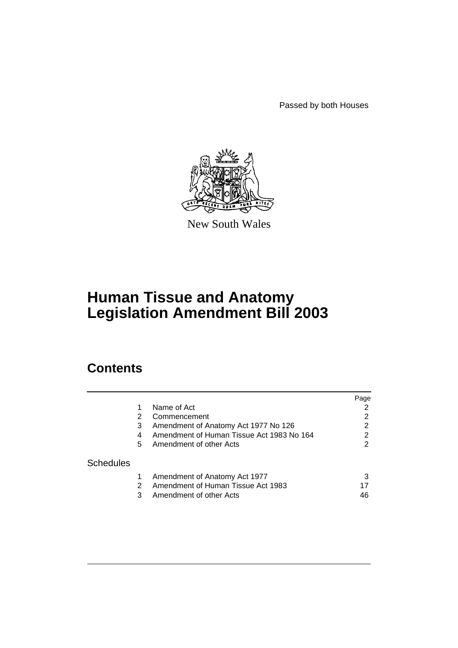Passed by both Houses



New South Wales

# **Human Tissue and Anatomy Legislation Amendment Bill 2003**

# **Contents**

|                  |    |                                           | Page |
|------------------|----|-------------------------------------------|------|
|                  |    | Name of Act                               |      |
|                  | 2  | Commencement                              | 2    |
|                  | 3  | Amendment of Anatomy Act 1977 No 126      | 2    |
|                  | 4  | Amendment of Human Tissue Act 1983 No 164 | 2    |
|                  | 5. | Amendment of other Acts                   | 2    |
| <b>Schedules</b> |    |                                           |      |
|                  |    | Amendment of Anatomy Act 1977             |      |
|                  | 2  | Amendment of Human Tissue Act 1983        |      |
|                  | 3  | Amendment of other Acts                   | 46   |
|                  |    |                                           |      |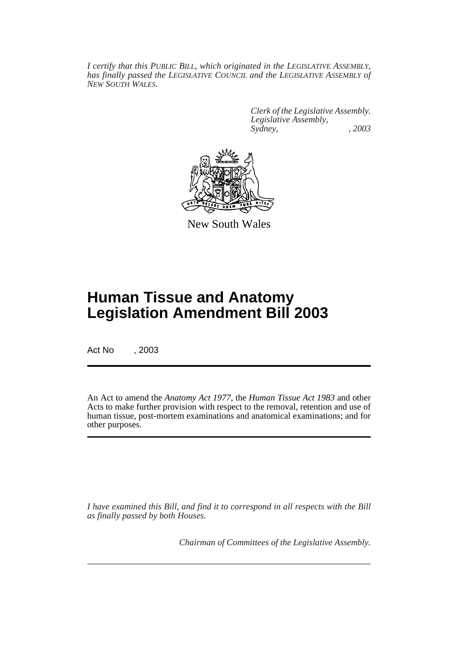*I certify that this PUBLIC BILL, which originated in the LEGISLATIVE ASSEMBLY, has finally passed the LEGISLATIVE COUNCIL and the LEGISLATIVE ASSEMBLY of NEW SOUTH WALES.*

> *Clerk of the Legislative Assembly. Legislative Assembly, Sydney, , 2003*



New South Wales

# **Human Tissue and Anatomy Legislation Amendment Bill 2003**

Act No , 2003

An Act to amend the *Anatomy Act 1977*, the *Human Tissue Act 1983* and other Acts to make further provision with respect to the removal, retention and use of human tissue, post-mortem examinations and anatomical examinations; and for other purposes.

*I have examined this Bill, and find it to correspond in all respects with the Bill as finally passed by both Houses.*

*Chairman of Committees of the Legislative Assembly.*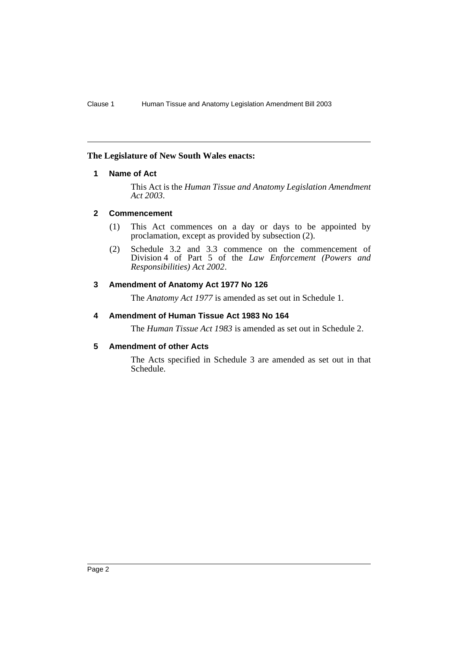## <span id="page-2-0"></span>**The Legislature of New South Wales enacts:**

# **1 Name of Act**

This Act is the *Human Tissue and Anatomy Legislation Amendment Act 2003*.

## <span id="page-2-1"></span>**2 Commencement**

- (1) This Act commences on a day or days to be appointed by proclamation, except as provided by subsection (2).
- (2) Schedule 3.2 and 3.3 commence on the commencement of Division 4 of Part 5 of the *Law Enforcement (Powers and Responsibilities) Act 2002*.

# <span id="page-2-2"></span>**3 Amendment of Anatomy Act 1977 No 126**

The *Anatomy Act 1977* is amended as set out in Schedule 1.

# <span id="page-2-3"></span>**4 Amendment of Human Tissue Act 1983 No 164**

The *Human Tissue Act 1983* is amended as set out in Schedule 2.

## <span id="page-2-4"></span>**5 Amendment of other Acts**

The Acts specified in Schedule 3 are amended as set out in that Schedule.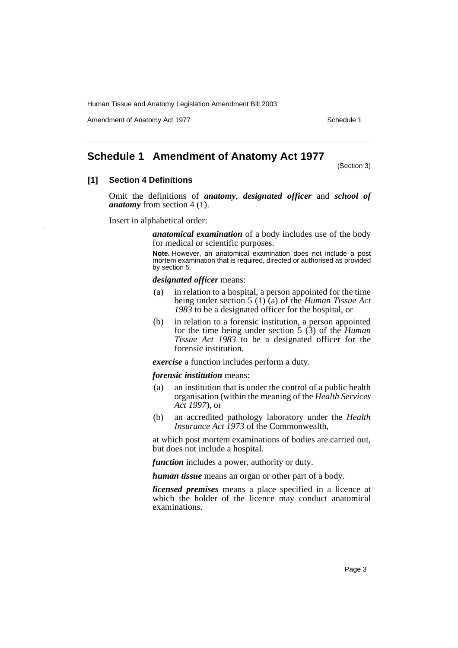Amendment of Anatomy Act 1977 **Schedule 1** Schedule 1

# <span id="page-3-0"></span>**Schedule 1 Amendment of Anatomy Act 1977**

(Section 3)

## **[1] Section 4 Definitions**

Omit the definitions of *anatomy*, *designated officer* and *school of anatomy* from section 4 (1).

Insert in alphabetical order:

*anatomical examination* of a body includes use of the body for medical or scientific purposes.

**Note.** However, an anatomical examination does not include a post mortem examination that is required, directed or authorised as provided by section 5.

#### *designated officer* means:

- (a) in relation to a hospital, a person appointed for the time being under section 5 (1) (a) of the *Human Tissue Act 1983* to be a designated officer for the hospital, or
- (b) in relation to a forensic institution, a person appointed for the time being under section 5 (3) of the *Human Tissue Act 1983* to be a designated officer for the forensic institution.

*exercise* a function includes perform a duty.

#### *forensic institution* means:

- (a) an institution that is under the control of a public health organisation (within the meaning of the *Health Services Act 1997*), or
- (b) an accredited pathology laboratory under the *Health Insurance Act 1973* of the Commonwealth,

at which post mortem examinations of bodies are carried out, but does not include a hospital.

*function* includes a power, authority or duty.

*human tissue* means an organ or other part of a body.

*licensed premises* means a place specified in a licence at which the holder of the licence may conduct anatomical examinations.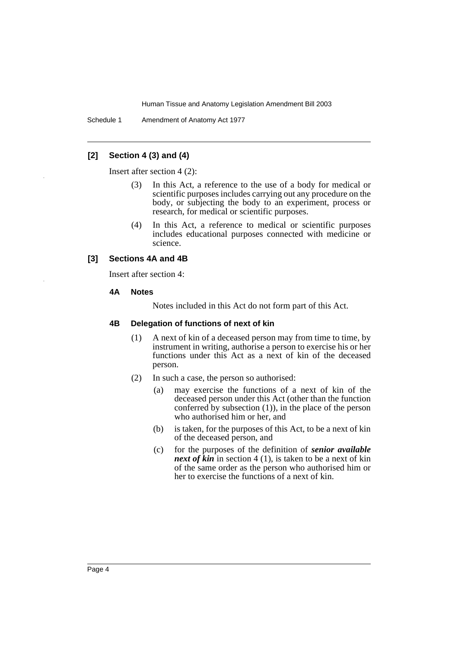Schedule 1 Amendment of Anatomy Act 1977

# **[2] Section 4 (3) and (4)**

Insert after section 4 (2):

- (3) In this Act, a reference to the use of a body for medical or scientific purposes includes carrying out any procedure on the body, or subjecting the body to an experiment, process or research, for medical or scientific purposes.
- (4) In this Act, a reference to medical or scientific purposes includes educational purposes connected with medicine or science.

# **[3] Sections 4A and 4B**

Insert after section 4:

#### **4A Notes**

Notes included in this Act do not form part of this Act.

#### **4B Delegation of functions of next of kin**

- (1) A next of kin of a deceased person may from time to time, by instrument in writing, authorise a person to exercise his or her functions under this Act as a next of kin of the deceased person.
- (2) In such a case, the person so authorised:
	- (a) may exercise the functions of a next of kin of the deceased person under this Act (other than the function conferred by subsection (1)), in the place of the person who authorised him or her, and
	- (b) is taken, for the purposes of this Act, to be a next of kin of the deceased person, and
	- (c) for the purposes of the definition of *senior available next of kin* in section 4 (1), is taken to be a next of kin of the same order as the person who authorised him or her to exercise the functions of a next of kin.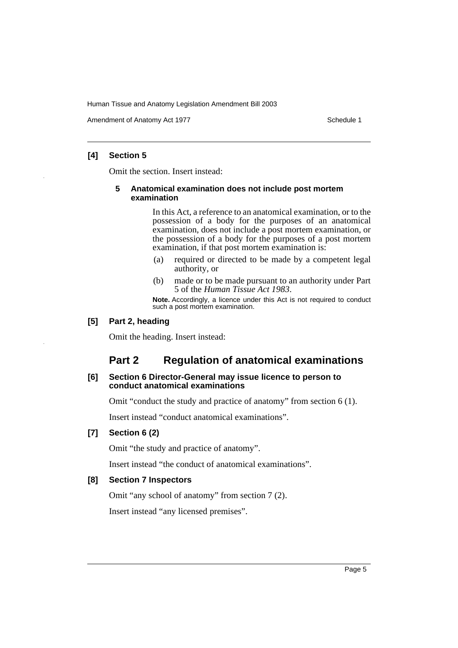Amendment of Anatomy Act 1977 Schedule 1

# **[4] Section 5**

Omit the section. Insert instead:

#### **5 Anatomical examination does not include post mortem examination**

In this Act, a reference to an anatomical examination, or to the possession of a body for the purposes of an anatomical examination, does not include a post mortem examination, or the possession of a body for the purposes of a post mortem examination, if that post mortem examination is:

- (a) required or directed to be made by a competent legal authority, or
- (b) made or to be made pursuant to an authority under Part 5 of the *Human Tissue Act 1983*.

**Note.** Accordingly, a licence under this Act is not required to conduct such a post mortem examination.

# **[5] Part 2, heading**

Omit the heading. Insert instead:

# **Part 2 Regulation of anatomical examinations**

#### **[6] Section 6 Director-General may issue licence to person to conduct anatomical examinations**

Omit "conduct the study and practice of anatomy" from section 6 (1).

Insert instead "conduct anatomical examinations".

# **[7] Section 6 (2)**

Omit "the study and practice of anatomy".

Insert instead "the conduct of anatomical examinations".

#### **[8] Section 7 Inspectors**

Omit "any school of anatomy" from section 7 (2).

Insert instead "any licensed premises".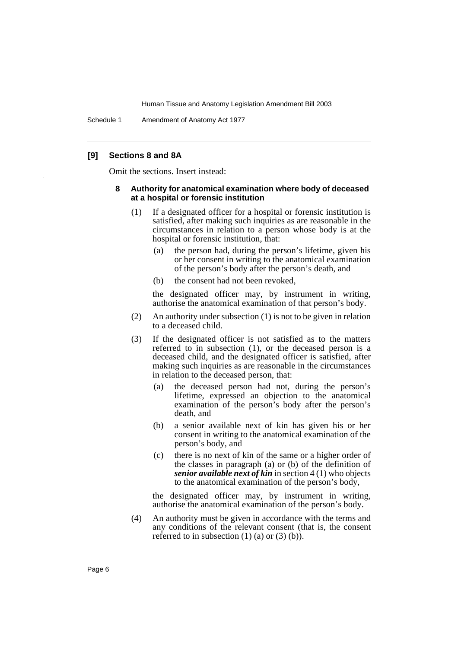Schedule 1 Amendment of Anatomy Act 1977

#### **[9] Sections 8 and 8A**

Omit the sections. Insert instead:

#### **8 Authority for anatomical examination where body of deceased at a hospital or forensic institution**

- (1) If a designated officer for a hospital or forensic institution is satisfied, after making such inquiries as are reasonable in the circumstances in relation to a person whose body is at the hospital or forensic institution, that:
	- (a) the person had, during the person's lifetime, given his or her consent in writing to the anatomical examination of the person's body after the person's death, and
	- (b) the consent had not been revoked,

the designated officer may, by instrument in writing, authorise the anatomical examination of that person's body.

- (2) An authority under subsection (1) is not to be given in relation to a deceased child.
- (3) If the designated officer is not satisfied as to the matters referred to in subsection (1), or the deceased person is a deceased child, and the designated officer is satisfied, after making such inquiries as are reasonable in the circumstances in relation to the deceased person, that:
	- (a) the deceased person had not, during the person's lifetime, expressed an objection to the anatomical examination of the person's body after the person's death, and
	- (b) a senior available next of kin has given his or her consent in writing to the anatomical examination of the person's body, and
	- (c) there is no next of kin of the same or a higher order of the classes in paragraph (a) or (b) of the definition of *senior available next of kin* in section 4 (1) who objects to the anatomical examination of the person's body,

the designated officer may, by instrument in writing, authorise the anatomical examination of the person's body.

(4) An authority must be given in accordance with the terms and any conditions of the relevant consent (that is, the consent referred to in subsection  $(1)$   $(a)$  or  $(3)$   $(b)$ ).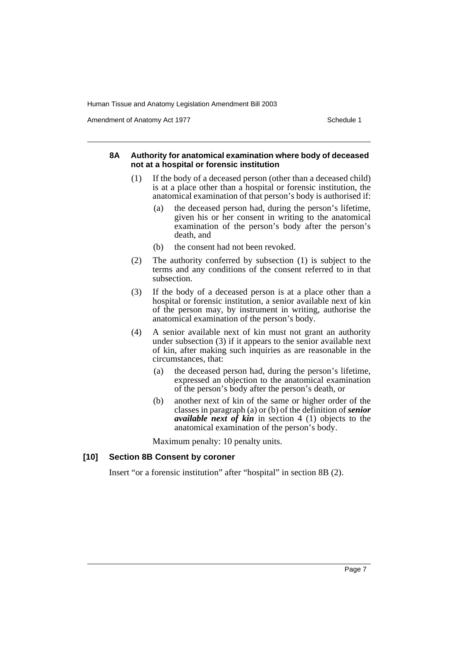Amendment of Anatomy Act 1977 **Schedule 1** Schedule 1

#### **8A Authority for anatomical examination where body of deceased not at a hospital or forensic institution**

- (1) If the body of a deceased person (other than a deceased child) is at a place other than a hospital or forensic institution, the anatomical examination of that person's body is authorised if:
	- (a) the deceased person had, during the person's lifetime, given his or her consent in writing to the anatomical examination of the person's body after the person's death, and
	- (b) the consent had not been revoked.
- (2) The authority conferred by subsection (1) is subject to the terms and any conditions of the consent referred to in that subsection.
- (3) If the body of a deceased person is at a place other than a hospital or forensic institution, a senior available next of kin of the person may, by instrument in writing, authorise the anatomical examination of the person's body.
- (4) A senior available next of kin must not grant an authority under subsection (3) if it appears to the senior available next of kin, after making such inquiries as are reasonable in the circumstances, that:
	- (a) the deceased person had, during the person's lifetime, expressed an objection to the anatomical examination of the person's body after the person's death, or
	- (b) another next of kin of the same or higher order of the classes in paragraph (a) or (b) of the definition of *senior available next of kin* in section 4 (1) objects to the anatomical examination of the person's body.

Maximum penalty: 10 penalty units.

## **[10] Section 8B Consent by coroner**

Insert "or a forensic institution" after "hospital" in section 8B (2).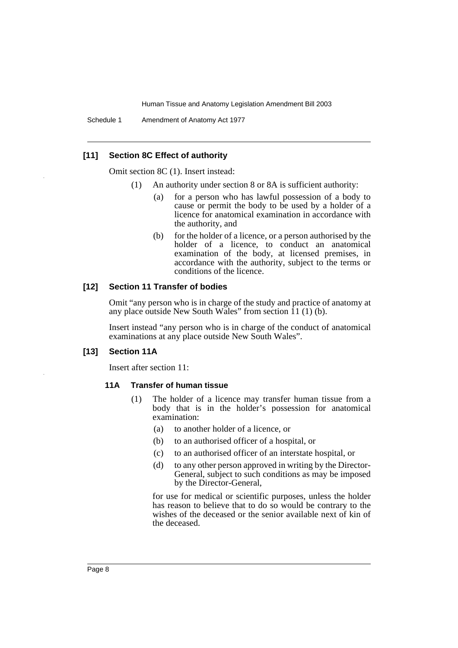Schedule 1 Amendment of Anatomy Act 1977

#### **[11] Section 8C Effect of authority**

Omit section 8C (1). Insert instead:

- (1) An authority under section 8 or 8A is sufficient authority:
	- (a) for a person who has lawful possession of a body to cause or permit the body to be used by a holder of a licence for anatomical examination in accordance with the authority, and
	- (b) for the holder of a licence, or a person authorised by the holder of a licence, to conduct an anatomical examination of the body, at licensed premises, in accordance with the authority, subject to the terms or conditions of the licence.

# **[12] Section 11 Transfer of bodies**

Omit "any person who is in charge of the study and practice of anatomy at any place outside New South Wales" from section  $11(1)(b)$ .

Insert instead "any person who is in charge of the conduct of anatomical examinations at any place outside New South Wales".

#### **[13] Section 11A**

Insert after section 11:

#### **11A Transfer of human tissue**

- (1) The holder of a licence may transfer human tissue from a body that is in the holder's possession for anatomical examination:
	- (a) to another holder of a licence, or
	- (b) to an authorised officer of a hospital, or
	- (c) to an authorised officer of an interstate hospital, or
	- (d) to any other person approved in writing by the Director-General, subject to such conditions as may be imposed by the Director-General,

for use for medical or scientific purposes, unless the holder has reason to believe that to do so would be contrary to the wishes of the deceased or the senior available next of kin of the deceased.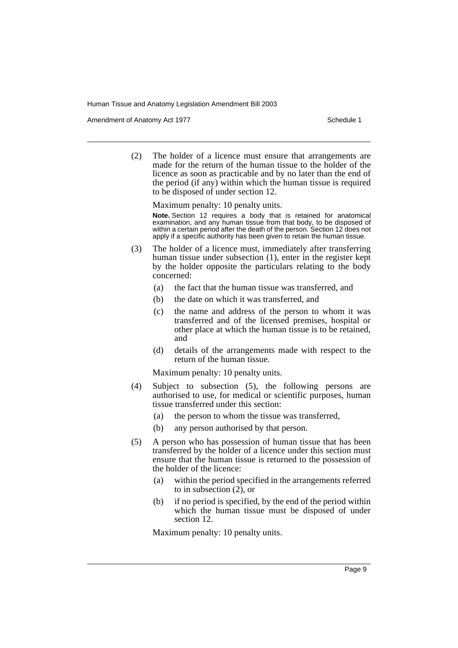Amendment of Anatomy Act 1977 **Schedule 1** Schedule 1

(2) The holder of a licence must ensure that arrangements are made for the return of the human tissue to the holder of the licence as soon as practicable and by no later than the end of the period (if any) within which the human tissue is required to be disposed of under section 12.

Maximum penalty: 10 penalty units. **Note.** Section 12 requires a body that is retained for anatomical examination, and any human tissue from that body, to be disposed of within a certain period after the death of the person. Section 12 does not apply if a specific authority has been given to retain the human tissue.

- (3) The holder of a licence must, immediately after transferring human tissue under subsection (1), enter in the register kept by the holder opposite the particulars relating to the body concerned:
	- (a) the fact that the human tissue was transferred, and
	- (b) the date on which it was transferred, and
	- (c) the name and address of the person to whom it was transferred and of the licensed premises, hospital or other place at which the human tissue is to be retained, and
	- (d) details of the arrangements made with respect to the return of the human tissue.

Maximum penalty: 10 penalty units.

- (4) Subject to subsection (5), the following persons are authorised to use, for medical or scientific purposes, human tissue transferred under this section:
	- (a) the person to whom the tissue was transferred,
	- (b) any person authorised by that person.
- (5) A person who has possession of human tissue that has been transferred by the holder of a licence under this section must ensure that the human tissue is returned to the possession of the holder of the licence:
	- (a) within the period specified in the arrangements referred to in subsection  $(2)$ , or
	- (b) if no period is specified, by the end of the period within which the human tissue must be disposed of under section 12.

Maximum penalty: 10 penalty units.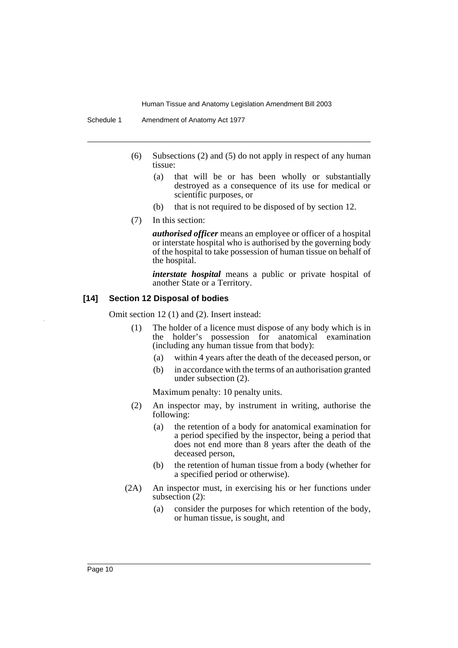- (6) Subsections (2) and (5) do not apply in respect of any human tissue:
	- (a) that will be or has been wholly or substantially destroyed as a consequence of its use for medical or scientific purposes, or
	- (b) that is not required to be disposed of by section 12.
- (7) In this section:

*authorised officer* means an employee or officer of a hospital or interstate hospital who is authorised by the governing body of the hospital to take possession of human tissue on behalf of the hospital.

*interstate hospital* means a public or private hospital of another State or a Territory.

#### **[14] Section 12 Disposal of bodies**

Omit section 12 (1) and (2). Insert instead:

- (1) The holder of a licence must dispose of any body which is in the holder's possession for anatomical examination (including any human tissue from that body):
	- (a) within 4 years after the death of the deceased person, or
	- (b) in accordance with the terms of an authorisation granted under subsection (2).

Maximum penalty: 10 penalty units.

- (2) An inspector may, by instrument in writing, authorise the following:
	- (a) the retention of a body for anatomical examination for a period specified by the inspector, being a period that does not end more than 8 years after the death of the deceased person,
	- (b) the retention of human tissue from a body (whether for a specified period or otherwise).
- (2A) An inspector must, in exercising his or her functions under subsection (2):
	- (a) consider the purposes for which retention of the body, or human tissue, is sought, and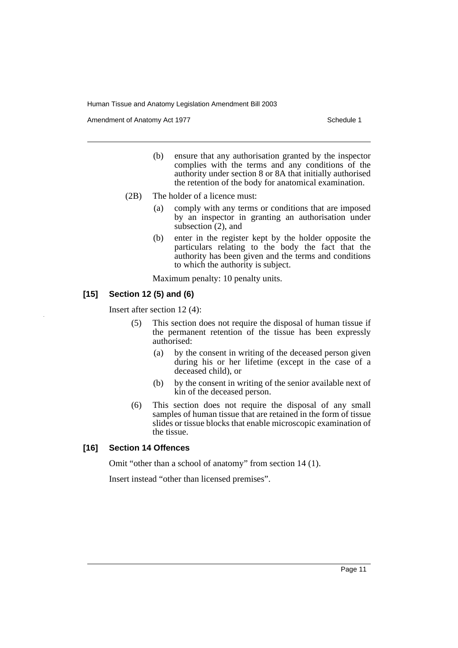Amendment of Anatomy Act 1977 **Schedule 1** Schedule 1

- (b) ensure that any authorisation granted by the inspector complies with the terms and any conditions of the authority under section 8 or 8A that initially authorised the retention of the body for anatomical examination.
- (2B) The holder of a licence must:
	- (a) comply with any terms or conditions that are imposed by an inspector in granting an authorisation under subsection (2), and
	- (b) enter in the register kept by the holder opposite the particulars relating to the body the fact that the authority has been given and the terms and conditions to which the authority is subject.

Maximum penalty: 10 penalty units.

# **[15] Section 12 (5) and (6)**

Insert after section 12 (4):

- (5) This section does not require the disposal of human tissue if the permanent retention of the tissue has been expressly authorised:
	- (a) by the consent in writing of the deceased person given during his or her lifetime (except in the case of a deceased child), or
	- (b) by the consent in writing of the senior available next of kin of the deceased person.
- (6) This section does not require the disposal of any small samples of human tissue that are retained in the form of tissue slides or tissue blocks that enable microscopic examination of the tissue.

# **[16] Section 14 Offences**

Omit "other than a school of anatomy" from section 14 (1).

Insert instead "other than licensed premises".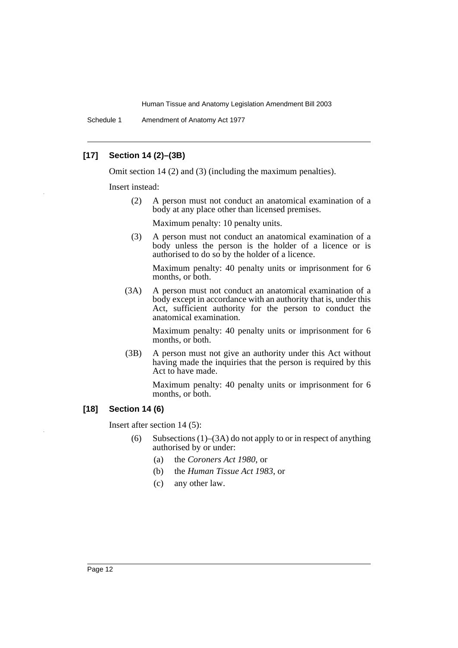Schedule 1 Amendment of Anatomy Act 1977

# **[17] Section 14 (2)–(3B)**

Omit section 14 (2) and (3) (including the maximum penalties).

Insert instead:

(2) A person must not conduct an anatomical examination of a body at any place other than licensed premises.

Maximum penalty: 10 penalty units.

(3) A person must not conduct an anatomical examination of a body unless the person is the holder of a licence or is authorised to do so by the holder of a licence.

Maximum penalty: 40 penalty units or imprisonment for 6 months, or both.

(3A) A person must not conduct an anatomical examination of a body except in accordance with an authority that is, under this Act, sufficient authority for the person to conduct the anatomical examination.

> Maximum penalty: 40 penalty units or imprisonment for 6 months, or both.

(3B) A person must not give an authority under this Act without having made the inquiries that the person is required by this Act to have made.

> Maximum penalty: 40 penalty units or imprisonment for 6 months, or both.

# **[18] Section 14 (6)**

Insert after section 14 (5):

- (6) Subsections  $(1)$ – $(3A)$  do not apply to or in respect of anything authorised by or under:
	- (a) the *Coroners Act 1980*, or
	- (b) the *Human Tissue Act 1983*, or
	- (c) any other law.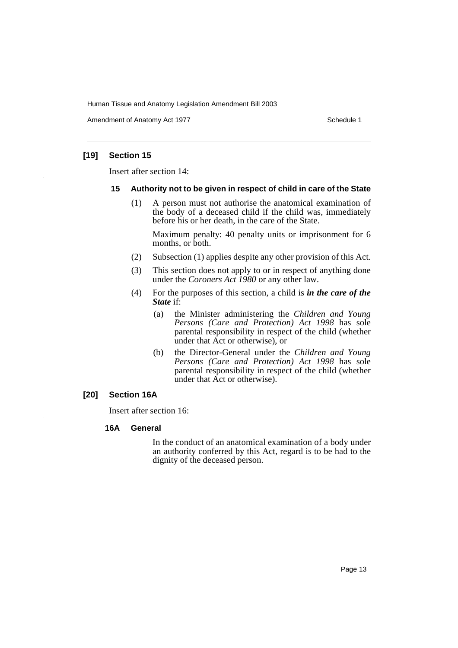Amendment of Anatomy Act 1977 **Schedule 1** Schedule 1

## **[19] Section 15**

Insert after section 14:

#### **15 Authority not to be given in respect of child in care of the State**

(1) A person must not authorise the anatomical examination of the body of a deceased child if the child was, immediately before his or her death, in the care of the State.

Maximum penalty: 40 penalty units or imprisonment for 6 months, or both.

- (2) Subsection (1) applies despite any other provision of this Act.
- (3) This section does not apply to or in respect of anything done under the *Coroners Act 1980* or any other law.
- (4) For the purposes of this section, a child is *in the care of the State* if:
	- (a) the Minister administering the *Children and Young Persons (Care and Protection) Act 1998* has sole parental responsibility in respect of the child (whether under that Act or otherwise), or
	- (b) the Director-General under the *Children and Young Persons (Care and Protection) Act 1998* has sole parental responsibility in respect of the child (whether under that Act or otherwise).

# **[20] Section 16A**

Insert after section 16:

#### **16A General**

In the conduct of an anatomical examination of a body under an authority conferred by this Act, regard is to be had to the dignity of the deceased person.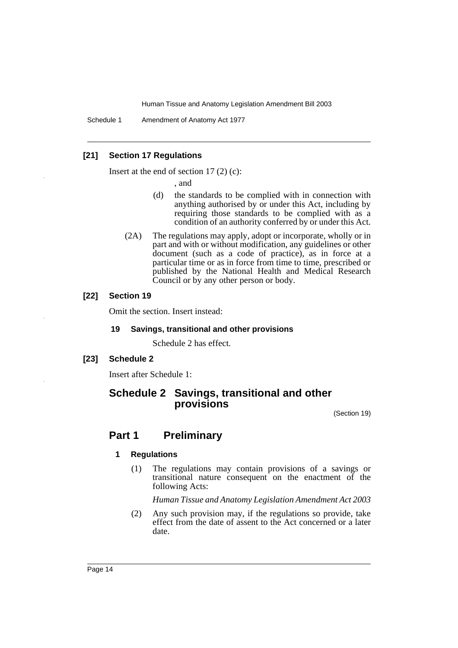Schedule 1 Amendment of Anatomy Act 1977

# **[21] Section 17 Regulations**

Insert at the end of section  $17(2)(c)$ :

, and

- (d) the standards to be complied with in connection with anything authorised by or under this Act, including by requiring those standards to be complied with as a condition of an authority conferred by or under this Act.
- (2A) The regulations may apply, adopt or incorporate, wholly or in part and with or without modification, any guidelines or other document (such as a code of practice), as in force at a particular time or as in force from time to time, prescribed or published by the National Health and Medical Research Council or by any other person or body.

### **[22] Section 19**

Omit the section. Insert instead:

## **19 Savings, transitional and other provisions**

Schedule 2 has effect.

# **[23] Schedule 2**

Insert after Schedule 1:

# **Schedule 2 Savings, transitional and other provisions**

(Section 19)

# **Part 1 Preliminary**

# **1 Regulations**

(1) The regulations may contain provisions of a savings or transitional nature consequent on the enactment of the following Acts:

*Human Tissue and Anatomy Legislation Amendment Act 2003*

(2) Any such provision may, if the regulations so provide, take effect from the date of assent to the Act concerned or a later date.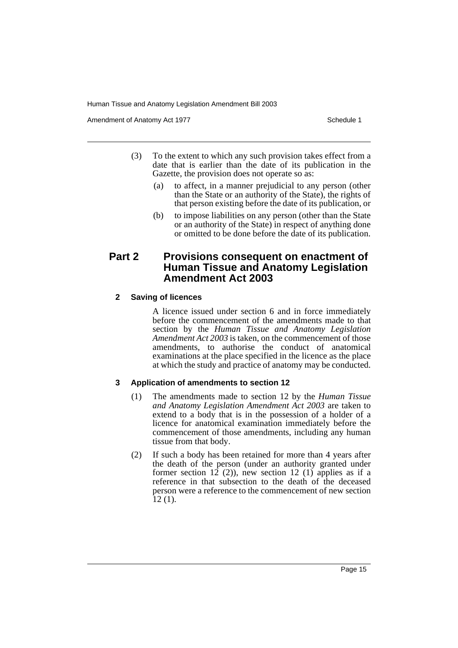Amendment of Anatomy Act 1977 **Schedule 1** Schedule 1

- (3) To the extent to which any such provision takes effect from a date that is earlier than the date of its publication in the Gazette, the provision does not operate so as:
	- (a) to affect, in a manner prejudicial to any person (other than the State or an authority of the State), the rights of that person existing before the date of its publication, or
	- (b) to impose liabilities on any person (other than the State or an authority of the State) in respect of anything done or omitted to be done before the date of its publication.

# **Part 2 Provisions consequent on enactment of Human Tissue and Anatomy Legislation Amendment Act 2003**

## **2 Saving of licences**

A licence issued under section 6 and in force immediately before the commencement of the amendments made to that section by the *Human Tissue and Anatomy Legislation Amendment Act 2003* is taken, on the commencement of those amendments, to authorise the conduct of anatomical examinations at the place specified in the licence as the place at which the study and practice of anatomy may be conducted.

# **3 Application of amendments to section 12**

- (1) The amendments made to section 12 by the *Human Tissue and Anatomy Legislation Amendment Act 2003* are taken to extend to a body that is in the possession of a holder of a licence for anatomical examination immediately before the commencement of those amendments, including any human tissue from that body.
- (2) If such a body has been retained for more than 4 years after the death of the person (under an authority granted under former section 12 (2)), new section 12 (1) applies as if a reference in that subsection to the death of the deceased person were a reference to the commencement of new section  $\overline{12}$  (1).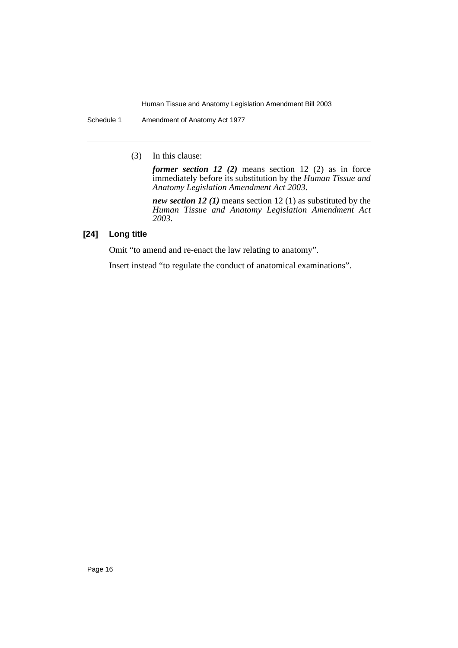Schedule 1 Amendment of Anatomy Act 1977

(3) In this clause:

*former section 12 (2)* means section 12 (2) as in force immediately before its substitution by the *Human Tissue and Anatomy Legislation Amendment Act 2003*.

*new section 12 (1)* means section 12 (1) as substituted by the *Human Tissue and Anatomy Legislation Amendment Act 2003*.

# **[24] Long title**

Omit "to amend and re-enact the law relating to anatomy".

Insert instead "to regulate the conduct of anatomical examinations".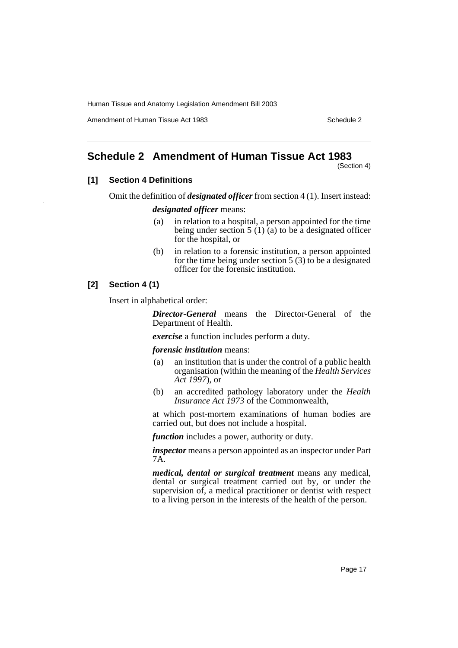Amendment of Human Tissue Act 1983 Schedule 2

# <span id="page-17-0"></span>**Schedule 2 Amendment of Human Tissue Act 1983**

(Section 4)

# **[1] Section 4 Definitions**

Omit the definition of *designated officer* from section 4 (1). Insert instead:

#### *designated officer* means:

- (a) in relation to a hospital, a person appointed for the time being under section 5 (1) (a) to be a designated officer for the hospital, or
- (b) in relation to a forensic institution, a person appointed for the time being under section  $5(3)$  to be a designated officer for the forensic institution.

# **[2] Section 4 (1)**

Insert in alphabetical order:

*Director-General* means the Director-General of the Department of Health.

*exercise* a function includes perform a duty.

*forensic institution* means:

- (a) an institution that is under the control of a public health organisation (within the meaning of the *Health Services Act 1997*), or
- (b) an accredited pathology laboratory under the *Health Insurance Act 1973* of the Commonwealth,

at which post-mortem examinations of human bodies are carried out, but does not include a hospital.

*function* includes a power, authority or duty.

*inspector* means a person appointed as an inspector under Part 7A.

*medical, dental or surgical treatment* means any medical, dental or surgical treatment carried out by, or under the supervision of, a medical practitioner or dentist with respect to a living person in the interests of the health of the person.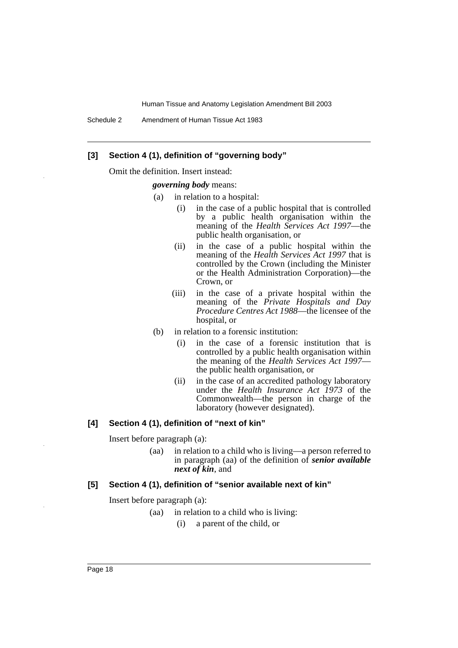Schedule 2 Amendment of Human Tissue Act 1983

# **[3] Section 4 (1), definition of "governing body"**

Omit the definition. Insert instead:

#### *governing body* means:

- (a) in relation to a hospital:
	- (i) in the case of a public hospital that is controlled by a public health organisation within the meaning of the *Health Services Act 1997*—the public health organisation, or
	- (ii) in the case of a public hospital within the meaning of the *Health Services Act 1997* that is controlled by the Crown (including the Minister or the Health Administration Corporation)—the Crown, or
	- (iii) in the case of a private hospital within the meaning of the *Private Hospitals and Day Procedure Centres Act 1988*—the licensee of the hospital, or
- (b) in relation to a forensic institution:
	- (i) in the case of a forensic institution that is controlled by a public health organisation within the meaning of the *Health Services Act 1997* the public health organisation, or
	- (ii) in the case of an accredited pathology laboratory under the *Health Insurance Act 1973* of the Commonwealth—the person in charge of the laboratory (however designated).

#### **[4] Section 4 (1), definition of "next of kin"**

Insert before paragraph (a):

(aa) in relation to a child who is living—a person referred to in paragraph (aa) of the definition of *senior available next of kin*, and

#### **[5] Section 4 (1), definition of "senior available next of kin"**

Insert before paragraph (a):

- (aa) in relation to a child who is living:
	- (i) a parent of the child, or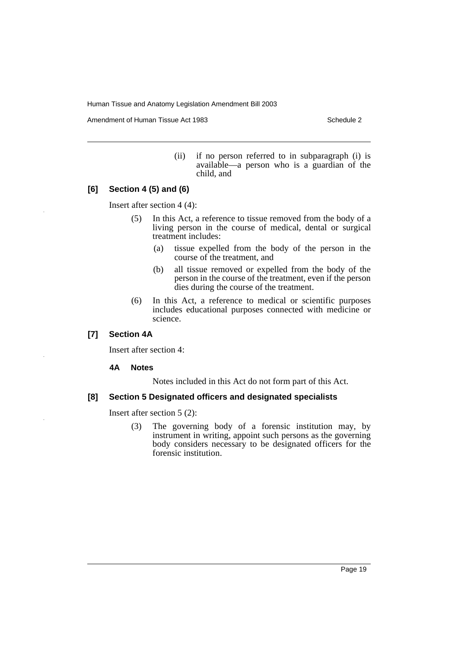Amendment of Human Tissue Act 1983 Schedule 2

(ii) if no person referred to in subparagraph (i) is available—a person who is a guardian of the child, and

## **[6] Section 4 (5) and (6)**

Insert after section 4 (4):

- (5) In this Act, a reference to tissue removed from the body of a living person in the course of medical, dental or surgical treatment includes:
	- (a) tissue expelled from the body of the person in the course of the treatment, and
	- (b) all tissue removed or expelled from the body of the person in the course of the treatment, even if the person dies during the course of the treatment.
- (6) In this Act, a reference to medical or scientific purposes includes educational purposes connected with medicine or science.

# **[7] Section 4A**

Insert after section 4:

## **4A Notes**

Notes included in this Act do not form part of this Act.

## **[8] Section 5 Designated officers and designated specialists**

Insert after section 5 (2):

(3) The governing body of a forensic institution may, by instrument in writing, appoint such persons as the governing body considers necessary to be designated officers for the forensic institution.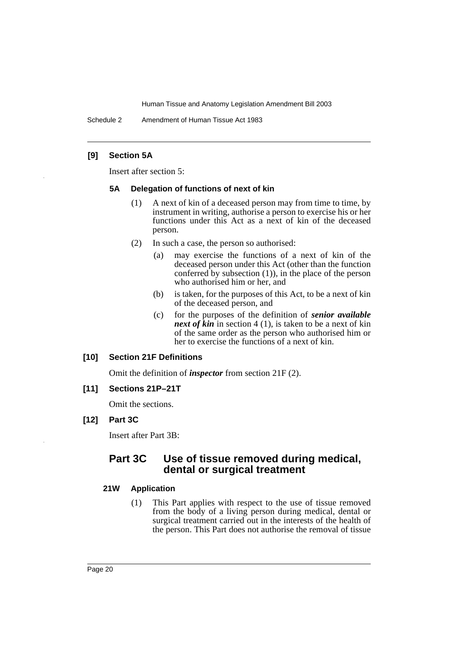Schedule 2 Amendment of Human Tissue Act 1983

# **[9] Section 5A**

Insert after section 5:

#### **5A Delegation of functions of next of kin**

- (1) A next of kin of a deceased person may from time to time, by instrument in writing, authorise a person to exercise his or her functions under this Act as a next of kin of the deceased person.
- (2) In such a case, the person so authorised:
	- (a) may exercise the functions of a next of kin of the deceased person under this Act (other than the function conferred by subsection  $(1)$ , in the place of the person who authorised him or her, and
	- (b) is taken, for the purposes of this Act, to be a next of kin of the deceased person, and
	- (c) for the purposes of the definition of *senior available next of kin* in section 4 (1), is taken to be a next of kin of the same order as the person who authorised him or her to exercise the functions of a next of kin.

#### **[10] Section 21F Definitions**

Omit the definition of *inspector* from section 21F (2).

## **[11] Sections 21P–21T**

Omit the sections.

# **[12] Part 3C**

Insert after Part 3B:

# **Part 3C Use of tissue removed during medical, dental or surgical treatment**

# **21W Application**

(1) This Part applies with respect to the use of tissue removed from the body of a living person during medical, dental or surgical treatment carried out in the interests of the health of the person. This Part does not authorise the removal of tissue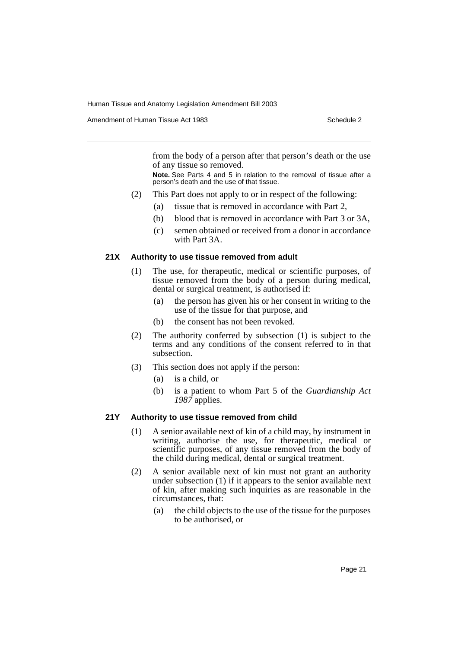Amendment of Human Tissue Act 1983 Schedule 2

from the body of a person after that person's death or the use of any tissue so removed.

**Note.** See Parts 4 and 5 in relation to the removal of tissue after a person's death and the use of that tissue.

- (2) This Part does not apply to or in respect of the following:
	- (a) tissue that is removed in accordance with Part 2,
	- (b) blood that is removed in accordance with Part 3 or 3A,
	- (c) semen obtained or received from a donor in accordance with Part 3A.

#### **21X Authority to use tissue removed from adult**

- (1) The use, for therapeutic, medical or scientific purposes, of tissue removed from the body of a person during medical, dental or surgical treatment, is authorised if:
	- (a) the person has given his or her consent in writing to the use of the tissue for that purpose, and
	- (b) the consent has not been revoked.
- (2) The authority conferred by subsection (1) is subject to the terms and any conditions of the consent referred to in that subsection.
- (3) This section does not apply if the person:
	- (a) is a child, or
	- (b) is a patient to whom Part 5 of the *Guardianship Act 1987* applies.

## **21Y Authority to use tissue removed from child**

- (1) A senior available next of kin of a child may, by instrument in writing, authorise the use, for therapeutic, medical or scientific purposes, of any tissue removed from the body of the child during medical, dental or surgical treatment.
- (2) A senior available next of kin must not grant an authority under subsection (1) if it appears to the senior available next of kin, after making such inquiries as are reasonable in the circumstances, that:
	- (a) the child objects to the use of the tissue for the purposes to be authorised, or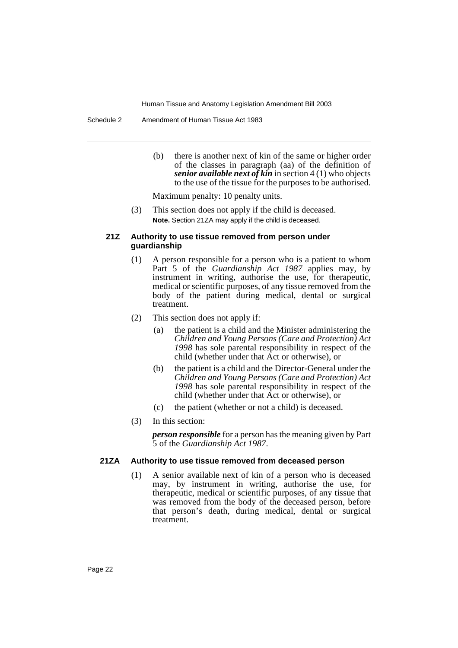Schedule 2 Amendment of Human Tissue Act 1983

(b) there is another next of kin of the same or higher order of the classes in paragraph (aa) of the definition of *senior available next of kin* in section 4 (1) who objects to the use of the tissue for the purposes to be authorised.

Maximum penalty: 10 penalty units.

(3) This section does not apply if the child is deceased. **Note.** Section 21ZA may apply if the child is deceased.

#### **21Z Authority to use tissue removed from person under guardianship**

- (1) A person responsible for a person who is a patient to whom Part 5 of the *Guardianship Act 1987* applies may, by instrument in writing, authorise the use, for therapeutic, medical or scientific purposes, of any tissue removed from the body of the patient during medical, dental or surgical treatment.
- (2) This section does not apply if:
	- (a) the patient is a child and the Minister administering the *Children and Young Persons (Care and Protection) Act 1998* has sole parental responsibility in respect of the child (whether under that Act or otherwise), or
	- (b) the patient is a child and the Director-General under the *Children and Young Persons (Care and Protection) Act 1998* has sole parental responsibility in respect of the child (whether under that Act or otherwise), or
	- (c) the patient (whether or not a child) is deceased.
- (3) In this section:

*person responsible* for a person has the meaning given by Part 5 of the *Guardianship Act 1987*.

# **21ZA Authority to use tissue removed from deceased person**

(1) A senior available next of kin of a person who is deceased may, by instrument in writing, authorise the use, for therapeutic, medical or scientific purposes, of any tissue that was removed from the body of the deceased person, before that person's death, during medical, dental or surgical treatment.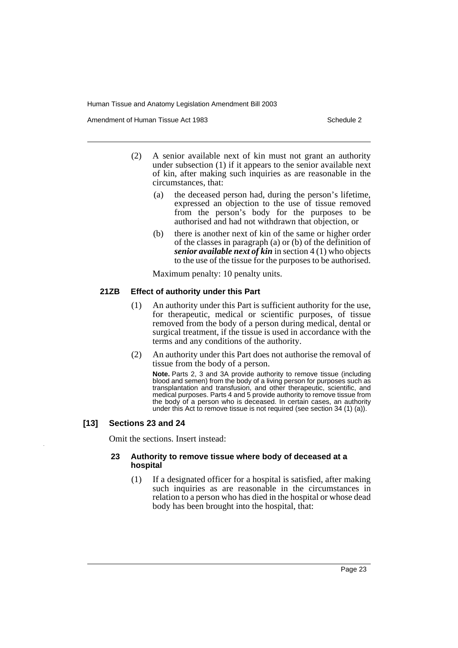Amendment of Human Tissue Act 1983 Schedule 2

- (2) A senior available next of kin must not grant an authority under subsection (1) if it appears to the senior available next of kin, after making such inquiries as are reasonable in the circumstances, that:
	- (a) the deceased person had, during the person's lifetime, expressed an objection to the use of tissue removed from the person's body for the purposes to be authorised and had not withdrawn that objection, or
	- (b) there is another next of kin of the same or higher order of the classes in paragraph (a) or (b) of the definition of *senior available next of kin* in section 4 (1) who objects to the use of the tissue for the purposes to be authorised.

Maximum penalty: 10 penalty units.

#### **21ZB Effect of authority under this Part**

- (1) An authority under this Part is sufficient authority for the use, for therapeutic, medical or scientific purposes, of tissue removed from the body of a person during medical, dental or surgical treatment, if the tissue is used in accordance with the terms and any conditions of the authority.
- (2) An authority under this Part does not authorise the removal of tissue from the body of a person.

**Note.** Parts 2, 3 and 3A provide authority to remove tissue (including blood and semen) from the body of a living person for purposes such as transplantation and transfusion, and other therapeutic, scientific, and medical purposes. Parts 4 and 5 provide authority to remove tissue from the body of a person who is deceased. In certain cases, an authority under this Act to remove tissue is not required (see section 34 (1) (a)).

## **[13] Sections 23 and 24**

Omit the sections. Insert instead:

#### **23 Authority to remove tissue where body of deceased at a hospital**

(1) If a designated officer for a hospital is satisfied, after making such inquiries as are reasonable in the circumstances in relation to a person who has died in the hospital or whose dead body has been brought into the hospital, that: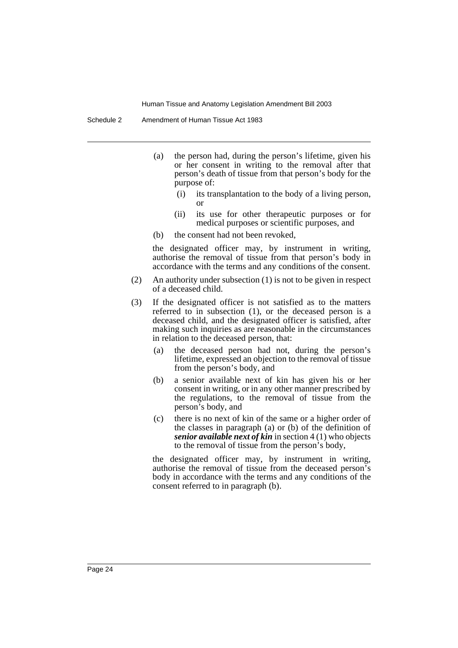- (a) the person had, during the person's lifetime, given his or her consent in writing to the removal after that person's death of tissue from that person's body for the purpose of:
	- (i) its transplantation to the body of a living person, or
	- (ii) its use for other therapeutic purposes or for medical purposes or scientific purposes, and
- (b) the consent had not been revoked,

the designated officer may, by instrument in writing, authorise the removal of tissue from that person's body in accordance with the terms and any conditions of the consent.

- (2) An authority under subsection (1) is not to be given in respect of a deceased child.
- (3) If the designated officer is not satisfied as to the matters referred to in subsection (1), or the deceased person is a deceased child, and the designated officer is satisfied, after making such inquiries as are reasonable in the circumstances in relation to the deceased person, that:
	- (a) the deceased person had not, during the person's lifetime, expressed an objection to the removal of tissue from the person's body, and
	- (b) a senior available next of kin has given his or her consent in writing, or in any other manner prescribed by the regulations, to the removal of tissue from the person's body, and
	- (c) there is no next of kin of the same or a higher order of the classes in paragraph (a) or (b) of the definition of *senior available next of kin* in section 4 (1) who objects to the removal of tissue from the person's body,

the designated officer may, by instrument in writing, authorise the removal of tissue from the deceased person's body in accordance with the terms and any conditions of the consent referred to in paragraph (b).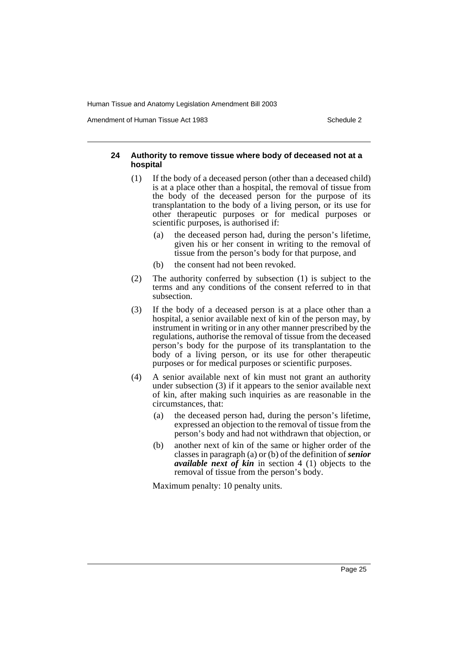Amendment of Human Tissue Act 1983 Schedule 2

#### **24 Authority to remove tissue where body of deceased not at a hospital**

- (1) If the body of a deceased person (other than a deceased child) is at a place other than a hospital, the removal of tissue from the body of the deceased person for the purpose of its transplantation to the body of a living person, or its use for other therapeutic purposes or for medical purposes or scientific purposes, is authorised if:
	- (a) the deceased person had, during the person's lifetime, given his or her consent in writing to the removal of tissue from the person's body for that purpose, and
	- (b) the consent had not been revoked.
- (2) The authority conferred by subsection (1) is subject to the terms and any conditions of the consent referred to in that subsection.
- (3) If the body of a deceased person is at a place other than a hospital, a senior available next of kin of the person may, by instrument in writing or in any other manner prescribed by the regulations, authorise the removal of tissue from the deceased person's body for the purpose of its transplantation to the body of a living person, or its use for other therapeutic purposes or for medical purposes or scientific purposes.
- (4) A senior available next of kin must not grant an authority under subsection (3) if it appears to the senior available next of kin, after making such inquiries as are reasonable in the circumstances, that:
	- (a) the deceased person had, during the person's lifetime, expressed an objection to the removal of tissue from the person's body and had not withdrawn that objection, or
	- (b) another next of kin of the same or higher order of the classes in paragraph (a) or (b) of the definition of *senior available next of kin* in section 4 (1) objects to the removal of tissue from the person's body.

Maximum penalty: 10 penalty units.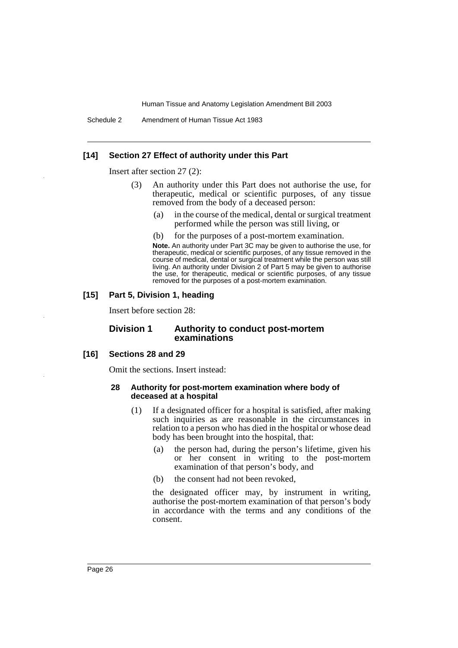Schedule 2 Amendment of Human Tissue Act 1983

#### **[14] Section 27 Effect of authority under this Part**

Insert after section 27 (2):

- (3) An authority under this Part does not authorise the use, for therapeutic, medical or scientific purposes, of any tissue removed from the body of a deceased person:
	- (a) in the course of the medical, dental or surgical treatment performed while the person was still living, or
	- (b) for the purposes of a post-mortem examination.

**Note.** An authority under Part 3C may be given to authorise the use, for therapeutic, medical or scientific purposes, of any tissue removed in the course of medical, dental or surgical treatment while the person was still living. An authority under Division 2 of Part 5 may be given to authorise the use, for therapeutic, medical or scientific purposes, of any tissue removed for the purposes of a post-mortem examination.

#### **[15] Part 5, Division 1, heading**

Insert before section 28:

#### **Division 1 Authority to conduct post-mortem examinations**

#### **[16] Sections 28 and 29**

Omit the sections. Insert instead:

#### **28 Authority for post-mortem examination where body of deceased at a hospital**

- (1) If a designated officer for a hospital is satisfied, after making such inquiries as are reasonable in the circumstances in relation to a person who has died in the hospital or whose dead body has been brought into the hospital, that:
	- (a) the person had, during the person's lifetime, given his or her consent in writing to the post-mortem examination of that person's body, and
	- (b) the consent had not been revoked,

the designated officer may, by instrument in writing, authorise the post-mortem examination of that person's body in accordance with the terms and any conditions of the consent.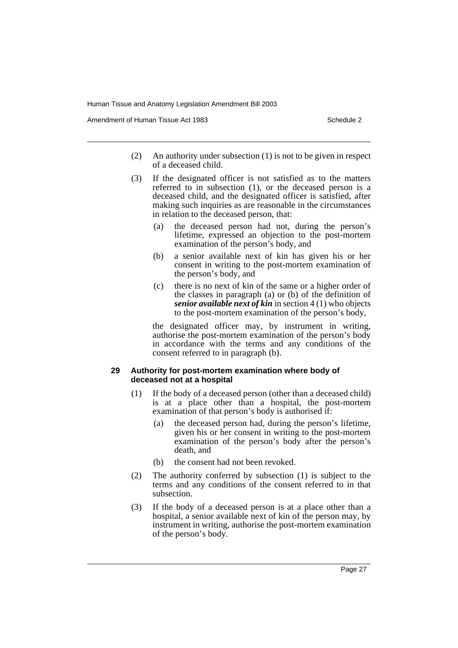Amendment of Human Tissue Act 1983 Schedule 2

- (2) An authority under subsection (1) is not to be given in respect of a deceased child.
- (3) If the designated officer is not satisfied as to the matters referred to in subsection (1), or the deceased person is a deceased child, and the designated officer is satisfied, after making such inquiries as are reasonable in the circumstances in relation to the deceased person, that:
	- (a) the deceased person had not, during the person's lifetime, expressed an objection to the post-mortem examination of the person's body, and
	- (b) a senior available next of kin has given his or her consent in writing to the post-mortem examination of the person's body, and
	- (c) there is no next of kin of the same or a higher order of the classes in paragraph (a) or (b) of the definition of *senior available next of kin* in section 4 (1) who objects to the post-mortem examination of the person's body,

the designated officer may, by instrument in writing, authorise the post-mortem examination of the person's body in accordance with the terms and any conditions of the consent referred to in paragraph (b).

#### **29 Authority for post-mortem examination where body of deceased not at a hospital**

- (1) If the body of a deceased person (other than a deceased child) is at a place other than a hospital, the post-mortem examination of that person's body is authorised if:
	- (a) the deceased person had, during the person's lifetime, given his or her consent in writing to the post-mortem examination of the person's body after the person's death, and
	- (b) the consent had not been revoked.
- (2) The authority conferred by subsection (1) is subject to the terms and any conditions of the consent referred to in that subsection.
- (3) If the body of a deceased person is at a place other than a hospital, a senior available next of kin of the person may, by instrument in writing, authorise the post-mortem examination of the person's body.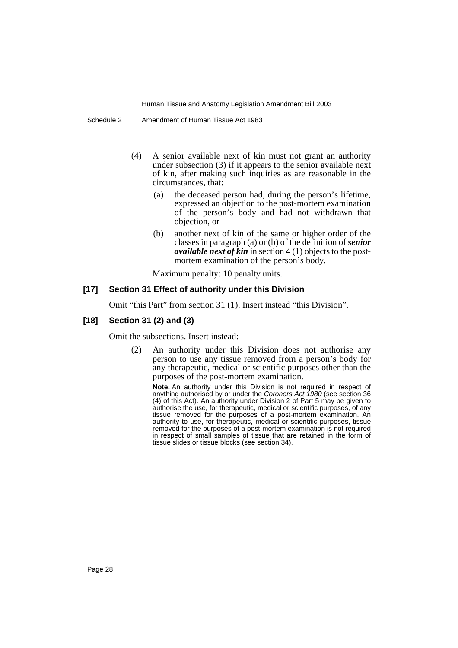- (4) A senior available next of kin must not grant an authority under subsection (3) if it appears to the senior available next of kin, after making such inquiries as are reasonable in the circumstances, that:
	- (a) the deceased person had, during the person's lifetime, expressed an objection to the post-mortem examination of the person's body and had not withdrawn that objection, or
	- (b) another next of kin of the same or higher order of the classes in paragraph (a) or (b) of the definition of *senior available next of kin* in section 4 (1) objects to the postmortem examination of the person's body.

Maximum penalty: 10 penalty units.

#### **[17] Section 31 Effect of authority under this Division**

Omit "this Part" from section 31 (1). Insert instead "this Division".

#### **[18] Section 31 (2) and (3)**

Omit the subsections. Insert instead:

(2) An authority under this Division does not authorise any person to use any tissue removed from a person's body for any therapeutic, medical or scientific purposes other than the purposes of the post-mortem examination.

**Note.** An authority under this Division is not required in respect of anything authorised by or under the Coroners Act 1980 (see section 36 (4) of this Act). An authority under Division 2 of Part 5 may be given to authorise the use, for therapeutic, medical or scientific purposes, of any tissue removed for the purposes of a post-mortem examination. An authority to use, for therapeutic, medical or scientific purposes, tissue removed for the purposes of a post-mortem examination is not required in respect of small samples of tissue that are retained in the form of tissue slides or tissue blocks (see section 34).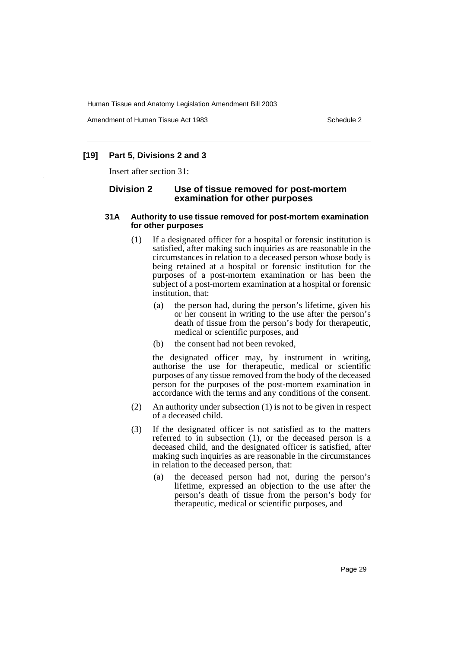Amendment of Human Tissue Act 1983 Schedule 2

# **[19] Part 5, Divisions 2 and 3**

Insert after section 31:

#### **Division 2 Use of tissue removed for post-mortem examination for other purposes**

#### **31A Authority to use tissue removed for post-mortem examination for other purposes**

- (1) If a designated officer for a hospital or forensic institution is satisfied, after making such inquiries as are reasonable in the circumstances in relation to a deceased person whose body is being retained at a hospital or forensic institution for the purposes of a post-mortem examination or has been the subject of a post-mortem examination at a hospital or forensic institution, that:
	- (a) the person had, during the person's lifetime, given his or her consent in writing to the use after the person's death of tissue from the person's body for therapeutic, medical or scientific purposes, and
	- (b) the consent had not been revoked,

the designated officer may, by instrument in writing, authorise the use for therapeutic, medical or scientific purposes of any tissue removed from the body of the deceased person for the purposes of the post-mortem examination in accordance with the terms and any conditions of the consent.

- (2) An authority under subsection (1) is not to be given in respect of a deceased child.
- (3) If the designated officer is not satisfied as to the matters referred to in subsection (1), or the deceased person is a deceased child, and the designated officer is satisfied, after making such inquiries as are reasonable in the circumstances in relation to the deceased person, that:
	- (a) the deceased person had not, during the person's lifetime, expressed an objection to the use after the person's death of tissue from the person's body for therapeutic, medical or scientific purposes, and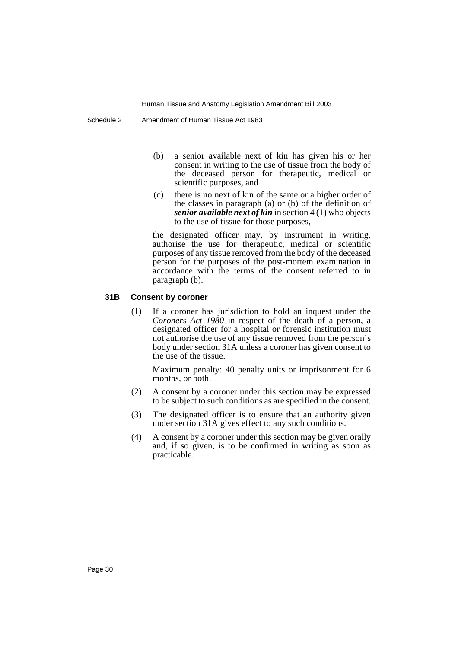- (b) a senior available next of kin has given his or her consent in writing to the use of tissue from the body of the deceased person for therapeutic, medical or scientific purposes, and
- (c) there is no next of kin of the same or a higher order of the classes in paragraph (a) or (b) of the definition of *senior available next of kin* in section 4 (1) who objects to the use of tissue for those purposes,

the designated officer may, by instrument in writing, authorise the use for therapeutic, medical or scientific purposes of any tissue removed from the body of the deceased person for the purposes of the post-mortem examination in accordance with the terms of the consent referred to in paragraph (b).

#### **31B Consent by coroner**

(1) If a coroner has jurisdiction to hold an inquest under the *Coroners Act 1980* in respect of the death of a person, a designated officer for a hospital or forensic institution must not authorise the use of any tissue removed from the person's body under section 31A unless a coroner has given consent to the use of the tissue.

Maximum penalty: 40 penalty units or imprisonment for 6 months, or both.

- (2) A consent by a coroner under this section may be expressed to be subject to such conditions as are specified in the consent.
- (3) The designated officer is to ensure that an authority given under section 31A gives effect to any such conditions.
- (4) A consent by a coroner under this section may be given orally and, if so given, is to be confirmed in writing as soon as practicable.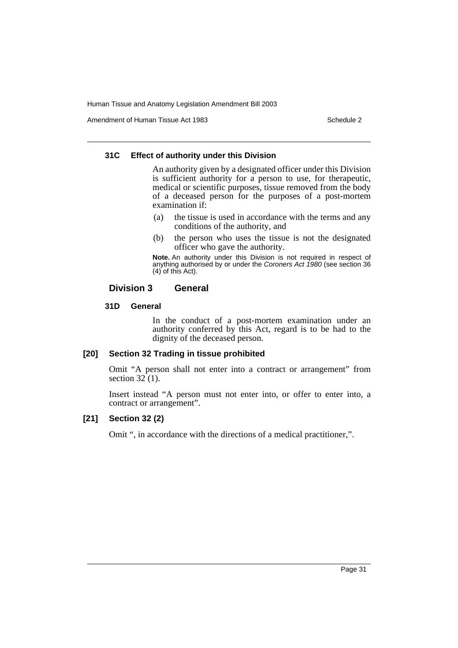Amendment of Human Tissue Act 1983 Schedule 2

#### **31C Effect of authority under this Division**

An authority given by a designated officer under this Division is sufficient authority for a person to use, for therapeutic, medical or scientific purposes, tissue removed from the body of a deceased person for the purposes of a post-mortem examination if:

- (a) the tissue is used in accordance with the terms and any conditions of the authority, and
- (b) the person who uses the tissue is not the designated officer who gave the authority.

**Note.** An authority under this Division is not required in respect of anything authorised by or under the Coroners Act 1980 (see section 36 (4) of this Act).

# **Division 3 General**

#### **31D General**

In the conduct of a post-mortem examination under an authority conferred by this Act, regard is to be had to the dignity of the deceased person.

# **[20] Section 32 Trading in tissue prohibited**

Omit "A person shall not enter into a contract or arrangement" from section  $32(1)$ .

Insert instead "A person must not enter into, or offer to enter into, a contract or arrangement".

## **[21] Section 32 (2)**

Omit ", in accordance with the directions of a medical practitioner,".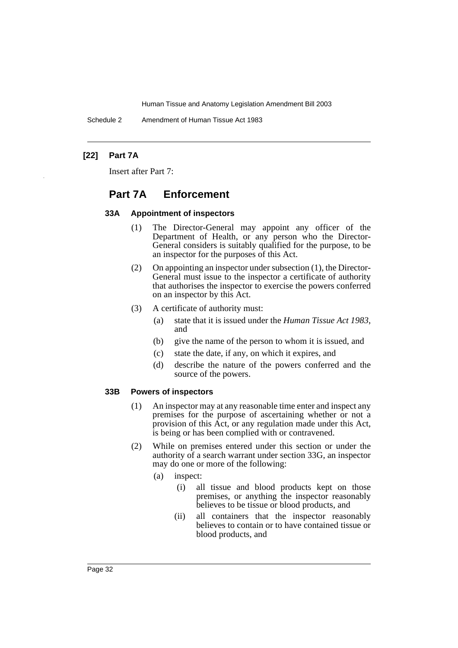Schedule 2 Amendment of Human Tissue Act 1983

# **[22] Part 7A**

Insert after Part 7:

# **Part 7A Enforcement**

#### **33A Appointment of inspectors**

- (1) The Director-General may appoint any officer of the Department of Health, or any person who the Director-General considers is suitably qualified for the purpose, to be an inspector for the purposes of this Act.
- (2) On appointing an inspector under subsection (1), the Director-General must issue to the inspector a certificate of authority that authorises the inspector to exercise the powers conferred on an inspector by this Act.
- (3) A certificate of authority must:
	- (a) state that it is issued under the *Human Tissue Act 1983*, and
	- (b) give the name of the person to whom it is issued, and
	- (c) state the date, if any, on which it expires, and
	- (d) describe the nature of the powers conferred and the source of the powers.

#### **33B Powers of inspectors**

- (1) An inspector may at any reasonable time enter and inspect any premises for the purpose of ascertaining whether or not a provision of this Act, or any regulation made under this Act, is being or has been complied with or contravened.
- (2) While on premises entered under this section or under the authority of a search warrant under section 33G, an inspector may do one or more of the following:
	- (a) inspect:
		- (i) all tissue and blood products kept on those premises, or anything the inspector reasonably believes to be tissue or blood products, and
		- (ii) all containers that the inspector reasonably believes to contain or to have contained tissue or blood products, and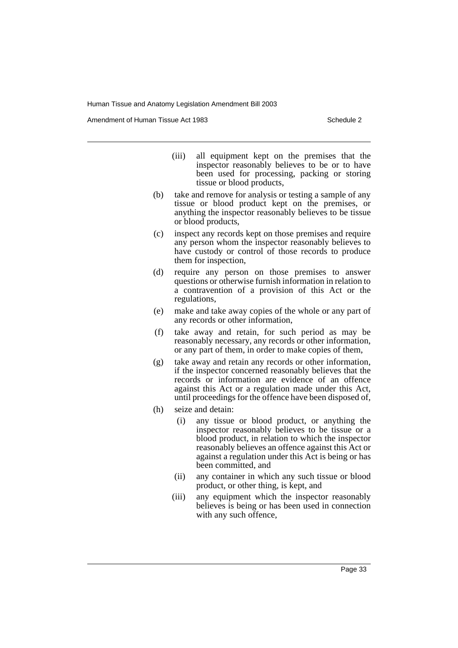Amendment of Human Tissue Act 1983 Schedule 2

- (iii) all equipment kept on the premises that the inspector reasonably believes to be or to have been used for processing, packing or storing tissue or blood products,
- (b) take and remove for analysis or testing a sample of any tissue or blood product kept on the premises, or anything the inspector reasonably believes to be tissue or blood products,
- (c) inspect any records kept on those premises and require any person whom the inspector reasonably believes to have custody or control of those records to produce them for inspection,
- (d) require any person on those premises to answer questions or otherwise furnish information in relation to a contravention of a provision of this Act or the regulations,
- (e) make and take away copies of the whole or any part of any records or other information,
- (f) take away and retain, for such period as may be reasonably necessary, any records or other information, or any part of them, in order to make copies of them,
- (g) take away and retain any records or other information, if the inspector concerned reasonably believes that the records or information are evidence of an offence against this Act or a regulation made under this Act, until proceedings for the offence have been disposed of,
- (h) seize and detain:
	- (i) any tissue or blood product, or anything the inspector reasonably believes to be tissue or a blood product, in relation to which the inspector reasonably believes an offence against this Act or against a regulation under this Act is being or has been committed, and
	- (ii) any container in which any such tissue or blood product, or other thing, is kept, and
	- (iii) any equipment which the inspector reasonably believes is being or has been used in connection with any such offence,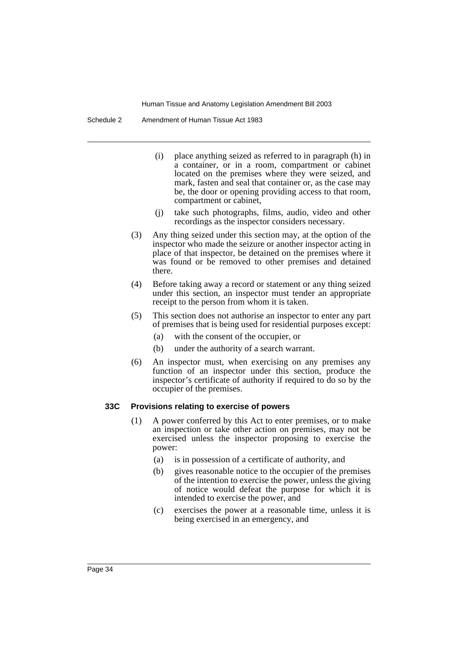Schedule 2 Amendment of Human Tissue Act 1983

- (i) place anything seized as referred to in paragraph (h) in a container, or in a room, compartment or cabinet located on the premises where they were seized, and mark, fasten and seal that container or, as the case may be, the door or opening providing access to that room, compartment or cabinet,
- (j) take such photographs, films, audio, video and other recordings as the inspector considers necessary.
- (3) Any thing seized under this section may, at the option of the inspector who made the seizure or another inspector acting in place of that inspector, be detained on the premises where it was found or be removed to other premises and detained there.
- (4) Before taking away a record or statement or any thing seized under this section, an inspector must tender an appropriate receipt to the person from whom it is taken.
- (5) This section does not authorise an inspector to enter any part of premises that is being used for residential purposes except:
	- (a) with the consent of the occupier, or
	- (b) under the authority of a search warrant.
- (6) An inspector must, when exercising on any premises any function of an inspector under this section, produce the inspector's certificate of authority if required to do so by the occupier of the premises.

#### **33C Provisions relating to exercise of powers**

- (1) A power conferred by this Act to enter premises, or to make an inspection or take other action on premises, may not be exercised unless the inspector proposing to exercise the power:
	- (a) is in possession of a certificate of authority, and
	- (b) gives reasonable notice to the occupier of the premises of the intention to exercise the power, unless the giving of notice would defeat the purpose for which it is intended to exercise the power, and
	- (c) exercises the power at a reasonable time, unless it is being exercised in an emergency, and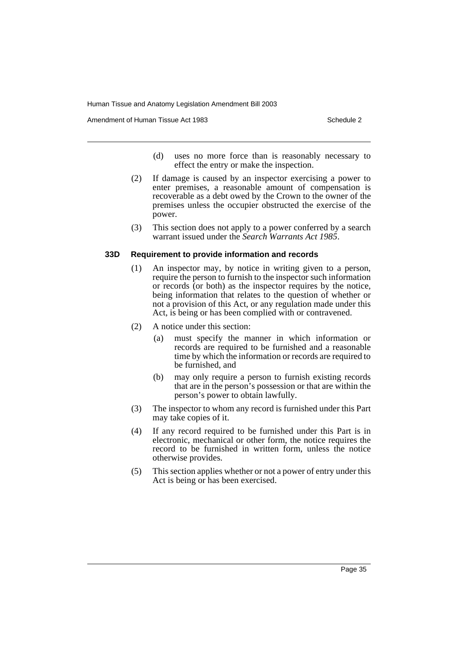Amendment of Human Tissue Act 1983 Schedule 2

- (d) uses no more force than is reasonably necessary to effect the entry or make the inspection.
- (2) If damage is caused by an inspector exercising a power to enter premises, a reasonable amount of compensation is recoverable as a debt owed by the Crown to the owner of the premises unless the occupier obstructed the exercise of the power.
- (3) This section does not apply to a power conferred by a search warrant issued under the *Search Warrants Act 1985*.

#### **33D Requirement to provide information and records**

- (1) An inspector may, by notice in writing given to a person, require the person to furnish to the inspector such information or records (or both) as the inspector requires by the notice, being information that relates to the question of whether or not a provision of this Act, or any regulation made under this Act, is being or has been complied with or contravened.
- (2) A notice under this section:
	- (a) must specify the manner in which information or records are required to be furnished and a reasonable time by which the information or records are required to be furnished, and
	- (b) may only require a person to furnish existing records that are in the person's possession or that are within the person's power to obtain lawfully.
- (3) The inspector to whom any record is furnished under this Part may take copies of it.
- (4) If any record required to be furnished under this Part is in electronic, mechanical or other form, the notice requires the record to be furnished in written form, unless the notice otherwise provides.
- (5) This section applies whether or not a power of entry under this Act is being or has been exercised.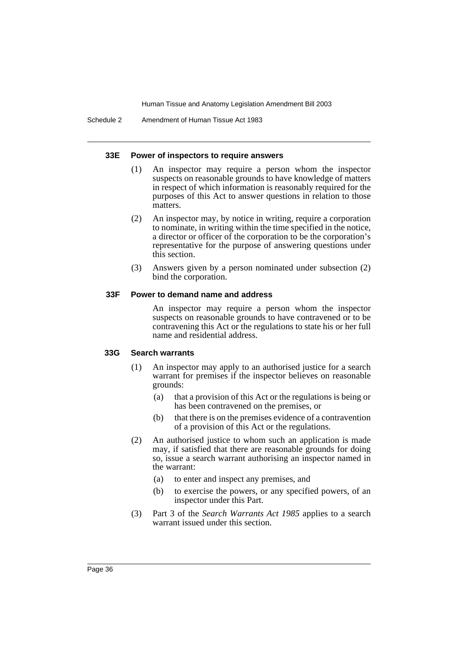#### **33E Power of inspectors to require answers**

- (1) An inspector may require a person whom the inspector suspects on reasonable grounds to have knowledge of matters in respect of which information is reasonably required for the purposes of this Act to answer questions in relation to those matters.
- (2) An inspector may, by notice in writing, require a corporation to nominate, in writing within the time specified in the notice, a director or officer of the corporation to be the corporation's representative for the purpose of answering questions under this section.
- (3) Answers given by a person nominated under subsection (2) bind the corporation.

#### **33F Power to demand name and address**

An inspector may require a person whom the inspector suspects on reasonable grounds to have contravened or to be contravening this Act or the regulations to state his or her full name and residential address.

#### **33G Search warrants**

- (1) An inspector may apply to an authorised justice for a search warrant for premises if the inspector believes on reasonable grounds:
	- (a) that a provision of this Act or the regulations is being or has been contravened on the premises, or
	- (b) that there is on the premises evidence of a contravention of a provision of this Act or the regulations.
- (2) An authorised justice to whom such an application is made may, if satisfied that there are reasonable grounds for doing so, issue a search warrant authorising an inspector named in the warrant:
	- (a) to enter and inspect any premises, and
	- (b) to exercise the powers, or any specified powers, of an inspector under this Part.
- (3) Part 3 of the *Search Warrants Act 1985* applies to a search warrant issued under this section.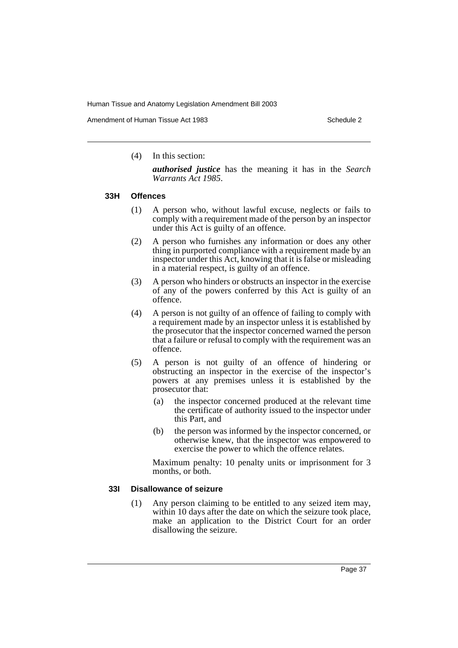Amendment of Human Tissue Act 1983 Schedule 2

(4) In this section:

*authorised justice* has the meaning it has in the *Search Warrants Act 1985*.

#### **33H Offences**

- (1) A person who, without lawful excuse, neglects or fails to comply with a requirement made of the person by an inspector under this Act is guilty of an offence.
- (2) A person who furnishes any information or does any other thing in purported compliance with a requirement made by an inspector under this Act, knowing that it is false or misleading in a material respect, is guilty of an offence.
- (3) A person who hinders or obstructs an inspector in the exercise of any of the powers conferred by this Act is guilty of an offence.
- (4) A person is not guilty of an offence of failing to comply with a requirement made by an inspector unless it is established by the prosecutor that the inspector concerned warned the person that a failure or refusal to comply with the requirement was an offence.
- (5) A person is not guilty of an offence of hindering or obstructing an inspector in the exercise of the inspector's powers at any premises unless it is established by the prosecutor that:
	- (a) the inspector concerned produced at the relevant time the certificate of authority issued to the inspector under this Part, and
	- (b) the person was informed by the inspector concerned, or otherwise knew, that the inspector was empowered to exercise the power to which the offence relates.

Maximum penalty: 10 penalty units or imprisonment for 3 months, or both.

#### **33I Disallowance of seizure**

(1) Any person claiming to be entitled to any seized item may, within 10 days after the date on which the seizure took place, make an application to the District Court for an order disallowing the seizure.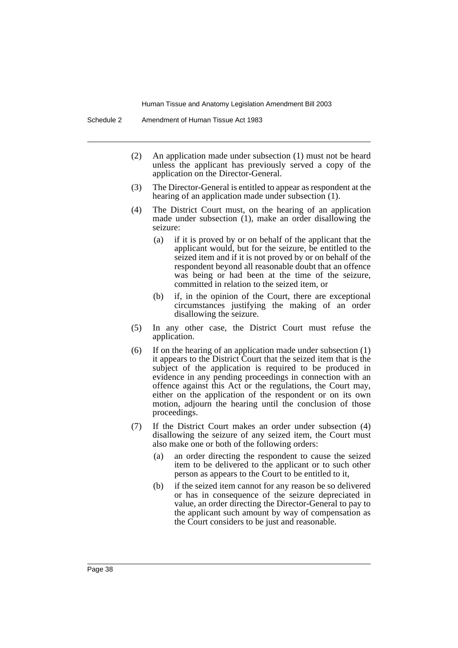- (2) An application made under subsection (1) must not be heard unless the applicant has previously served a copy of the application on the Director-General.
- (3) The Director-General is entitled to appear as respondent at the hearing of an application made under subsection (1).
- (4) The District Court must, on the hearing of an application made under subsection (1), make an order disallowing the seizure:
	- (a) if it is proved by or on behalf of the applicant that the applicant would, but for the seizure, be entitled to the seized item and if it is not proved by or on behalf of the respondent beyond all reasonable doubt that an offence was being or had been at the time of the seizure, committed in relation to the seized item, or
	- (b) if, in the opinion of the Court, there are exceptional circumstances justifying the making of an order disallowing the seizure.
- (5) In any other case, the District Court must refuse the application.
- (6) If on the hearing of an application made under subsection (1) it appears to the District Court that the seized item that is the subject of the application is required to be produced in evidence in any pending proceedings in connection with an offence against this Act or the regulations, the Court may, either on the application of the respondent or on its own motion, adjourn the hearing until the conclusion of those proceedings.
- (7) If the District Court makes an order under subsection (4) disallowing the seizure of any seized item, the Court must also make one or both of the following orders:
	- (a) an order directing the respondent to cause the seized item to be delivered to the applicant or to such other person as appears to the Court to be entitled to it,
	- (b) if the seized item cannot for any reason be so delivered or has in consequence of the seizure depreciated in value, an order directing the Director-General to pay to the applicant such amount by way of compensation as the Court considers to be just and reasonable.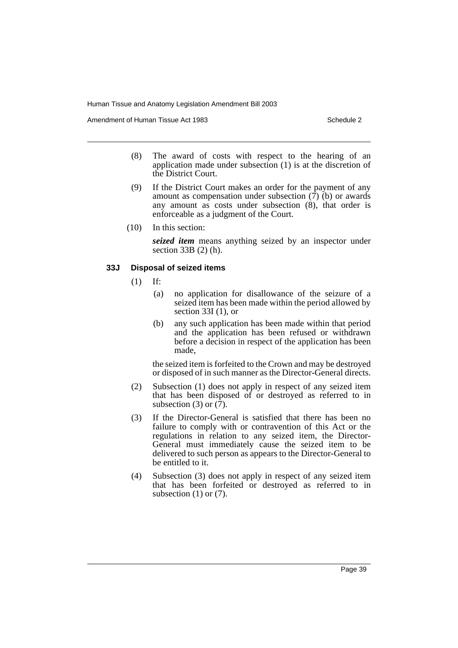Amendment of Human Tissue Act 1983 Schedule 2

- (8) The award of costs with respect to the hearing of an application made under subsection (1) is at the discretion of the District Court.
- (9) If the District Court makes an order for the payment of any amount as compensation under subsection  $(\overline{7})$  (b) or awards any amount as costs under subsection (8), that order is enforceable as a judgment of the Court.
- (10) In this section:

*seized item* means anything seized by an inspector under section 33B (2) (h).

#### **33J Disposal of seized items**

- (1) If:
	- (a) no application for disallowance of the seizure of a seized item has been made within the period allowed by section 33I (1), or
	- (b) any such application has been made within that period and the application has been refused or withdrawn before a decision in respect of the application has been made,

the seized item is forfeited to the Crown and may be destroyed or disposed of in such manner as the Director-General directs.

- (2) Subsection (1) does not apply in respect of any seized item that has been disposed of or destroyed as referred to in subsection (3) or  $(7)$ .
- (3) If the Director-General is satisfied that there has been no failure to comply with or contravention of this Act or the regulations in relation to any seized item, the Director-General must immediately cause the seized item to be delivered to such person as appears to the Director-General to be entitled to it.
- (4) Subsection (3) does not apply in respect of any seized item that has been forfeited or destroyed as referred to in subsection  $(1)$  or  $(7)$ .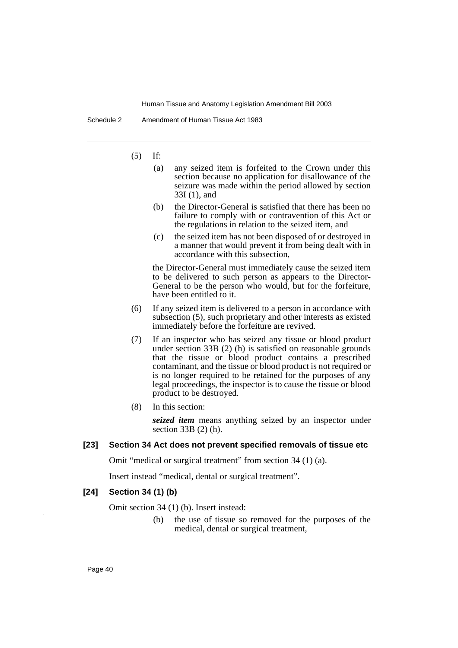Schedule 2 Amendment of Human Tissue Act 1983

(5) If:

- (a) any seized item is forfeited to the Crown under this section because no application for disallowance of the seizure was made within the period allowed by section 33I (1), and
- (b) the Director-General is satisfied that there has been no failure to comply with or contravention of this Act or the regulations in relation to the seized item, and
- (c) the seized item has not been disposed of or destroyed in a manner that would prevent it from being dealt with in accordance with this subsection,

the Director-General must immediately cause the seized item to be delivered to such person as appears to the Director-General to be the person who would, but for the forfeiture, have been entitled to it.

- (6) If any seized item is delivered to a person in accordance with subsection (5), such proprietary and other interests as existed immediately before the forfeiture are revived.
- (7) If an inspector who has seized any tissue or blood product under section 33B (2) (h) is satisfied on reasonable grounds that the tissue or blood product contains a prescribed contaminant, and the tissue or blood product is not required or is no longer required to be retained for the purposes of any legal proceedings, the inspector is to cause the tissue or blood product to be destroyed.
- (8) In this section:

*seized item* means anything seized by an inspector under section 33B (2) (h).

## **[23] Section 34 Act does not prevent specified removals of tissue etc**

Omit "medical or surgical treatment" from section 34 (1) (a).

Insert instead "medical, dental or surgical treatment".

#### **[24] Section 34 (1) (b)**

Omit section 34 (1) (b). Insert instead:

(b) the use of tissue so removed for the purposes of the medical, dental or surgical treatment,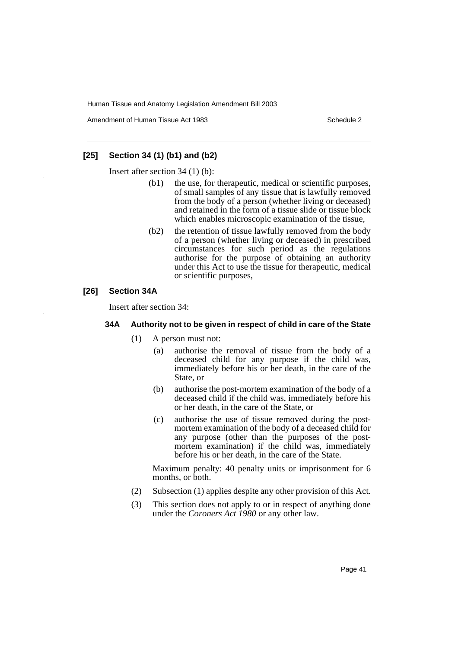Amendment of Human Tissue Act 1983 Schedule 2

### **[25] Section 34 (1) (b1) and (b2)**

Insert after section 34 (1) (b):

- (b1) the use, for therapeutic, medical or scientific purposes, of small samples of any tissue that is lawfully removed from the body of a person (whether living or deceased) and retained in the form of a tissue slide or tissue block which enables microscopic examination of the tissue,
- (b2) the retention of tissue lawfully removed from the body of a person (whether living or deceased) in prescribed circumstances for such period as the regulations authorise for the purpose of obtaining an authority under this Act to use the tissue for therapeutic, medical or scientific purposes,

# **[26] Section 34A**

Insert after section 34:

#### **34A Authority not to be given in respect of child in care of the State**

- (1) A person must not:
	- (a) authorise the removal of tissue from the body of a deceased child for any purpose if the child was, immediately before his or her death, in the care of the State, or
	- (b) authorise the post-mortem examination of the body of a deceased child if the child was, immediately before his or her death, in the care of the State, or
	- (c) authorise the use of tissue removed during the postmortem examination of the body of a deceased child for any purpose (other than the purposes of the postmortem examination) if the child was, immediately before his or her death, in the care of the State.

Maximum penalty: 40 penalty units or imprisonment for 6 months, or both.

- (2) Subsection (1) applies despite any other provision of this Act.
- (3) This section does not apply to or in respect of anything done under the *Coroners Act 1980* or any other law.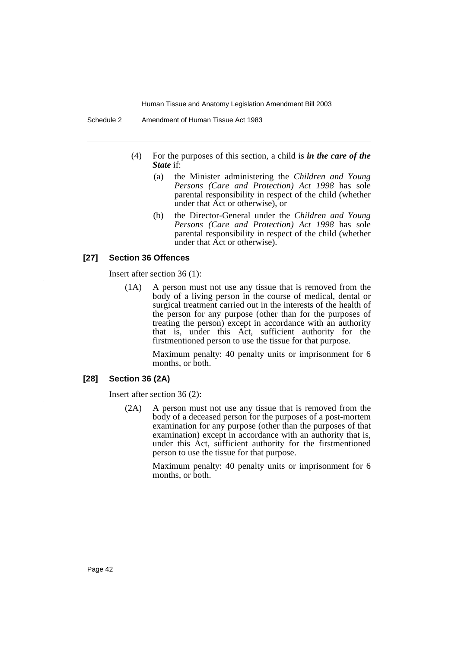- (4) For the purposes of this section, a child is *in the care of the State* if:
	- (a) the Minister administering the *Children and Young Persons (Care and Protection) Act 1998* has sole parental responsibility in respect of the child (whether under that Act or otherwise), or
	- (b) the Director-General under the *Children and Young Persons (Care and Protection) Act 1998* has sole parental responsibility in respect of the child (whether under that Act or otherwise).

#### **[27] Section 36 Offences**

Insert after section 36 (1):

(1A) A person must not use any tissue that is removed from the body of a living person in the course of medical, dental or surgical treatment carried out in the interests of the health of the person for any purpose (other than for the purposes of treating the person) except in accordance with an authority that is, under this Act, sufficient authority for the firstmentioned person to use the tissue for that purpose.

> Maximum penalty: 40 penalty units or imprisonment for 6 months, or both.

# **[28] Section 36 (2A)**

Insert after section 36 (2):

(2A) A person must not use any tissue that is removed from the body of a deceased person for the purposes of a post-mortem examination for any purpose (other than the purposes of that examination) except in accordance with an authority that is, under this Act, sufficient authority for the firstmentioned person to use the tissue for that purpose.

> Maximum penalty: 40 penalty units or imprisonment for 6 months, or both.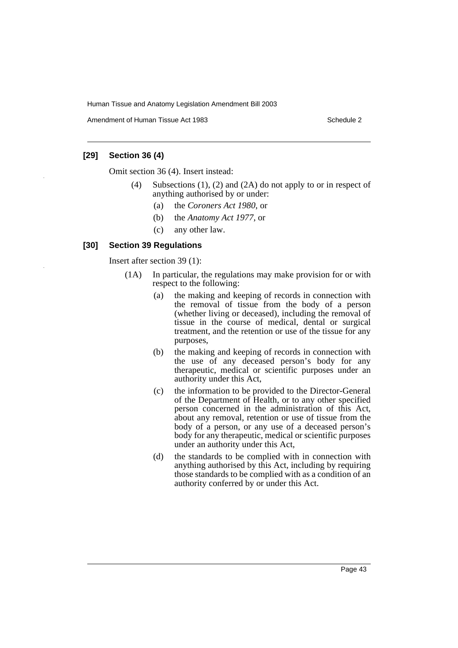Amendment of Human Tissue Act 1983 Schedule 2

# **[29] Section 36 (4)**

Omit section 36 (4). Insert instead:

- (4) Subsections (1), (2) and (2A) do not apply to or in respect of anything authorised by or under:
	- (a) the *Coroners Act 1980*, or
	- (b) the *Anatomy Act 1977*, or
	- (c) any other law.

# **[30] Section 39 Regulations**

Insert after section 39 (1):

- (1A) In particular, the regulations may make provision for or with respect to the following:
	- (a) the making and keeping of records in connection with the removal of tissue from the body of a person (whether living or deceased), including the removal of tissue in the course of medical, dental or surgical treatment, and the retention or use of the tissue for any purposes,
	- (b) the making and keeping of records in connection with the use of any deceased person's body for any therapeutic, medical or scientific purposes under an authority under this Act,
	- (c) the information to be provided to the Director-General of the Department of Health, or to any other specified person concerned in the administration of this Act, about any removal, retention or use of tissue from the body of a person, or any use of a deceased person's body for any therapeutic, medical or scientific purposes under an authority under this Act,
	- (d) the standards to be complied with in connection with anything authorised by this Act, including by requiring those standards to be complied with as a condition of an authority conferred by or under this Act.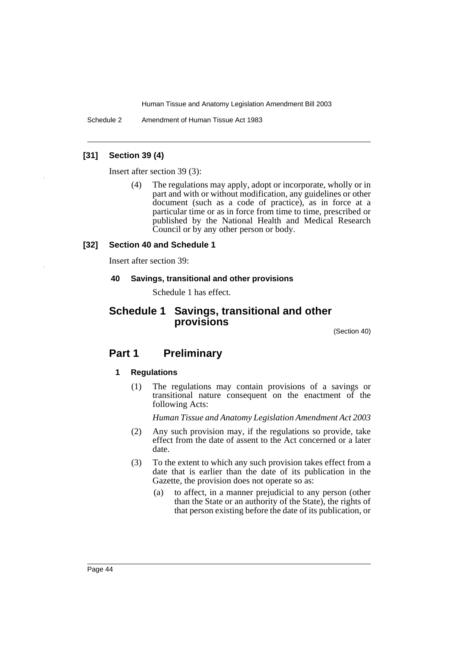Schedule 2 Amendment of Human Tissue Act 1983

## **[31] Section 39 (4)**

Insert after section 39 (3):

(4) The regulations may apply, adopt or incorporate, wholly or in part and with or without modification, any guidelines or other document (such as a code of practice), as in force at a particular time or as in force from time to time, prescribed or published by the National Health and Medical Research Council or by any other person or body.

#### **[32] Section 40 and Schedule 1**

Insert after section 39:

#### **40 Savings, transitional and other provisions**

Schedule 1 has effect.

# **Schedule 1 Savings, transitional and other provisions**

(Section 40)

# **Part 1 Preliminary**

#### **1 Regulations**

(1) The regulations may contain provisions of a savings or transitional nature consequent on the enactment of the following Acts:

*Human Tissue and Anatomy Legislation Amendment Act 2003*

- (2) Any such provision may, if the regulations so provide, take effect from the date of assent to the Act concerned or a later date.
- (3) To the extent to which any such provision takes effect from a date that is earlier than the date of its publication in the Gazette, the provision does not operate so as:
	- (a) to affect, in a manner prejudicial to any person (other than the State or an authority of the State), the rights of that person existing before the date of its publication, or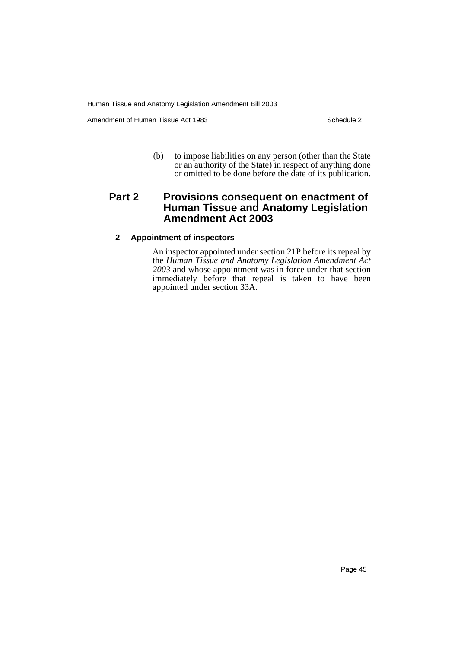Amendment of Human Tissue Act 1983 Schedule 2

(b) to impose liabilities on any person (other than the State or an authority of the State) in respect of anything done or omitted to be done before the date of its publication.

# **Part 2 Provisions consequent on enactment of Human Tissue and Anatomy Legislation Amendment Act 2003**

# **2 Appointment of inspectors**

An inspector appointed under section 21P before its repeal by the *Human Tissue and Anatomy Legislation Amendment Act 2003* and whose appointment was in force under that section immediately before that repeal is taken to have been appointed under section 33A.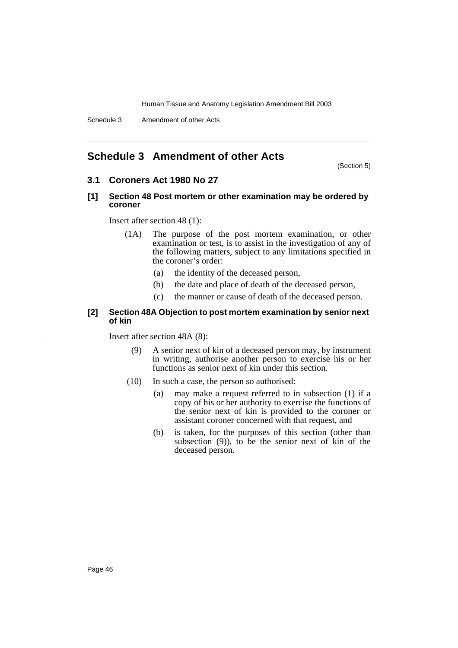# <span id="page-46-0"></span>**Schedule 3 Amendment of other Acts**

(Section 5)

# **3.1 Coroners Act 1980 No 27**

#### **[1] Section 48 Post mortem or other examination may be ordered by coroner**

Insert after section 48 (1):

- (1A) The purpose of the post mortem examination, or other examination or test, is to assist in the investigation of any of the following matters, subject to any limitations specified in the coroner's order:
	- (a) the identity of the deceased person,
	- (b) the date and place of death of the deceased person,
	- (c) the manner or cause of death of the deceased person.

#### **[2] Section 48A Objection to post mortem examination by senior next of kin**

Insert after section 48A (8):

- (9) A senior next of kin of a deceased person may, by instrument in writing, authorise another person to exercise his or her functions as senior next of kin under this section.
- (10) In such a case, the person so authorised:
	- (a) may make a request referred to in subsection (1) if a copy of his or her authority to exercise the functions of the senior next of kin is provided to the coroner or assistant coroner concerned with that request, and
	- (b) is taken, for the purposes of this section (other than subsection (9)), to be the senior next of kin of the deceased person.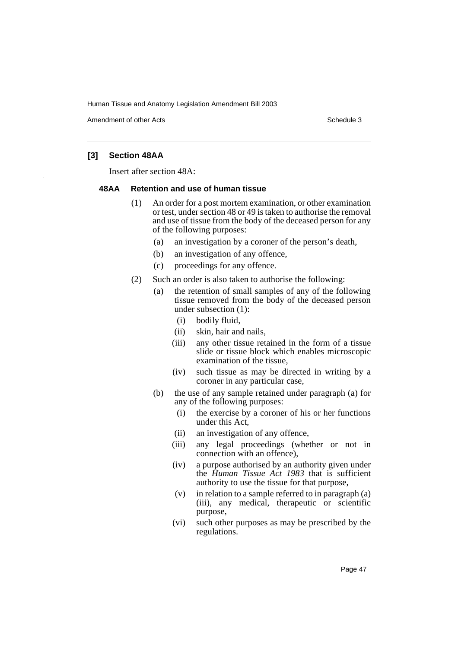Amendment of other Acts **Schedule 3** and the 3 set of the 3 set of the 3 set of the 3 set of the 3 set of the 3 set of the 3 set of the 3 set of the 3 set of the 3 set of the 3 set of the 3 set of the 3 set of the 3 set of

# **[3] Section 48AA**

Insert after section 48A:

#### **48AA Retention and use of human tissue**

- (1) An order for a post mortem examination, or other examination or test, under section 48 or 49 is taken to authorise the removal and use of tissue from the body of the deceased person for any of the following purposes:
	- (a) an investigation by a coroner of the person's death,
	- (b) an investigation of any offence,
	- (c) proceedings for any offence.
- (2) Such an order is also taken to authorise the following:
	- (a) the retention of small samples of any of the following tissue removed from the body of the deceased person under subsection (1):
		- (i) bodily fluid,
		- (ii) skin, hair and nails,
		- (iii) any other tissue retained in the form of a tissue slide or tissue block which enables microscopic examination of the tissue,
		- (iv) such tissue as may be directed in writing by a coroner in any particular case,
	- (b) the use of any sample retained under paragraph (a) for any of the following purposes:
		- (i) the exercise by a coroner of his or her functions under this Act,
		- (ii) an investigation of any offence,
		- (iii) any legal proceedings (whether or not in connection with an offence),
		- (iv) a purpose authorised by an authority given under the *Human Tissue Act 1983* that is sufficient authority to use the tissue for that purpose,
		- (v) in relation to a sample referred to in paragraph (a) (iii), any medical, therapeutic or scientific purpose,
		- (vi) such other purposes as may be prescribed by the regulations.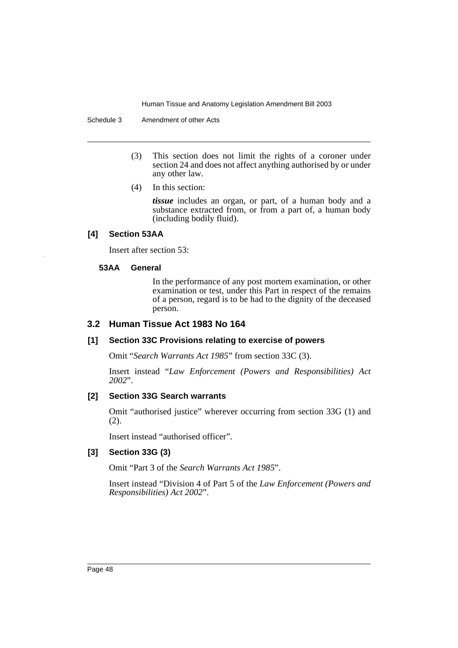Schedule 3 Amendment of other Acts

- (3) This section does not limit the rights of a coroner under section 24 and does not affect anything authorised by or under any other law.
- (4) In this section:

*tissue* includes an organ, or part, of a human body and a substance extracted from, or from a part of, a human body (including bodily fluid).

#### **[4] Section 53AA**

Insert after section 53:

#### **53AA General**

In the performance of any post mortem examination, or other examination or test, under this Part in respect of the remains of a person, regard is to be had to the dignity of the deceased person.

#### **3.2 Human Tissue Act 1983 No 164**

#### **[1] Section 33C Provisions relating to exercise of powers**

Omit "*Search Warrants Act 1985*" from section 33C (3).

Insert instead "*Law Enforcement (Powers and Responsibilities) Act 2002*".

#### **[2] Section 33G Search warrants**

Omit "authorised justice" wherever occurring from section 33G (1) and (2).

Insert instead "authorised officer".

#### **[3] Section 33G (3)**

Omit "Part 3 of the *Search Warrants Act 1985*".

Insert instead "Division 4 of Part 5 of the *Law Enforcement (Powers and Responsibilities) Act 2002*".